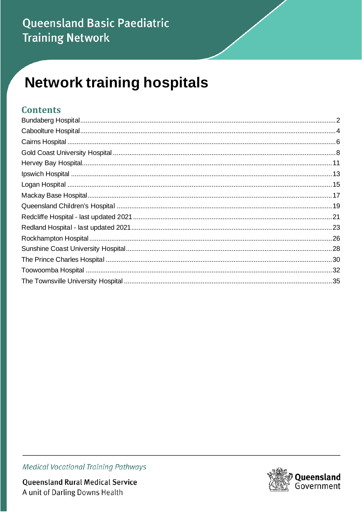### Queensland Basic Paediatric **Training Network**

# **Network training hospitals**

#### **Contents**



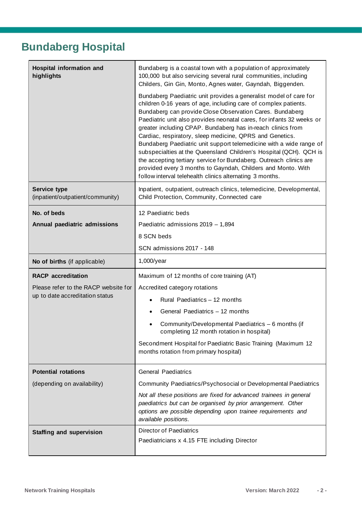# <span id="page-1-0"></span>**Bundaberg Hospital**

| Hospital information and<br>highlights                  | Bundaberg is a coastal town with a population of approximately<br>100,000 but also servicing several rural communities, including<br>Childers, Gin Gin, Monto, Agnes water, Gayndah, Biggenden.                                                                                                                                                                                                                                                                                                                                                                                                                                                                                                                                                     |  |  |
|---------------------------------------------------------|-----------------------------------------------------------------------------------------------------------------------------------------------------------------------------------------------------------------------------------------------------------------------------------------------------------------------------------------------------------------------------------------------------------------------------------------------------------------------------------------------------------------------------------------------------------------------------------------------------------------------------------------------------------------------------------------------------------------------------------------------------|--|--|
|                                                         | Bundaberg Paediatric unit provides a generalist model of care for<br>children 0-16 years of age, including care of complex patients.<br>Bundaberg can provide Close Observation Cares. Bundaberg<br>Paediatric unit also provides neonatal cares, for infants 32 weeks or<br>greater including CPAP. Bundaberg has in-reach clinics from<br>Cardiac, respiratory, sleep medicine, QPRS and Genetics.<br>Bundaberg Paediatric unit support telemedicine with a wide range of<br>subspecialties at the Queensland Children's Hospital (QCH). QCH is<br>the accepting tertiary service for Bundaberg. Outreach clinics are<br>provided every 3 months to Gayndah, Childers and Monto. With<br>follow interval telehealth clinics alternating 3 months. |  |  |
| <b>Service type</b><br>(inpatient/outpatient/community) | Inpatient, outpatient, outreach clinics, telemedicine, Developmental,<br>Child Protection, Community, Connected care                                                                                                                                                                                                                                                                                                                                                                                                                                                                                                                                                                                                                                |  |  |
| No. of beds                                             | 12 Paediatric beds                                                                                                                                                                                                                                                                                                                                                                                                                                                                                                                                                                                                                                                                                                                                  |  |  |
| Annual paediatric admissions                            | Paediatric admissions 2019 - 1,894                                                                                                                                                                                                                                                                                                                                                                                                                                                                                                                                                                                                                                                                                                                  |  |  |
|                                                         | 8 SCN beds                                                                                                                                                                                                                                                                                                                                                                                                                                                                                                                                                                                                                                                                                                                                          |  |  |
|                                                         | SCN admissions 2017 - 148                                                                                                                                                                                                                                                                                                                                                                                                                                                                                                                                                                                                                                                                                                                           |  |  |
| No of births (if applicable)                            | $1,000$ /year                                                                                                                                                                                                                                                                                                                                                                                                                                                                                                                                                                                                                                                                                                                                       |  |  |
| <b>RACP</b> accreditation                               | Maximum of 12 months of core training (AT)                                                                                                                                                                                                                                                                                                                                                                                                                                                                                                                                                                                                                                                                                                          |  |  |
| Please refer to the RACP website for                    | Accredited category rotations                                                                                                                                                                                                                                                                                                                                                                                                                                                                                                                                                                                                                                                                                                                       |  |  |
| up to date accreditation status                         | Rural Paediatrics - 12 months                                                                                                                                                                                                                                                                                                                                                                                                                                                                                                                                                                                                                                                                                                                       |  |  |
|                                                         | General Paediatrics - 12 months                                                                                                                                                                                                                                                                                                                                                                                                                                                                                                                                                                                                                                                                                                                     |  |  |
|                                                         | Community/Developmental Paediatrics - 6 months (if<br>completing 12 month rotation in hospital)                                                                                                                                                                                                                                                                                                                                                                                                                                                                                                                                                                                                                                                     |  |  |
|                                                         | Secondment Hospital for Paediatric Basic Training (Maximum 12<br>months rotation from primary hospital)                                                                                                                                                                                                                                                                                                                                                                                                                                                                                                                                                                                                                                             |  |  |
| <b>Potential rotations</b>                              | <b>General Paediatrics</b>                                                                                                                                                                                                                                                                                                                                                                                                                                                                                                                                                                                                                                                                                                                          |  |  |
| (depending on availability)                             | Community Paediatrics/Psychosocial or Developmental Paediatrics                                                                                                                                                                                                                                                                                                                                                                                                                                                                                                                                                                                                                                                                                     |  |  |
|                                                         | Not all these positions are fixed for advanced trainees in general<br>paediatrics but can be organised by prior arrangement. Other<br>options are possible depending upon trainee requirements and<br>available positions.                                                                                                                                                                                                                                                                                                                                                                                                                                                                                                                          |  |  |
| <b>Staffing and supervision</b>                         | <b>Director of Paediatrics</b>                                                                                                                                                                                                                                                                                                                                                                                                                                                                                                                                                                                                                                                                                                                      |  |  |
|                                                         | Paediatricians x 4.15 FTE including Director                                                                                                                                                                                                                                                                                                                                                                                                                                                                                                                                                                                                                                                                                                        |  |  |
|                                                         |                                                                                                                                                                                                                                                                                                                                                                                                                                                                                                                                                                                                                                                                                                                                                     |  |  |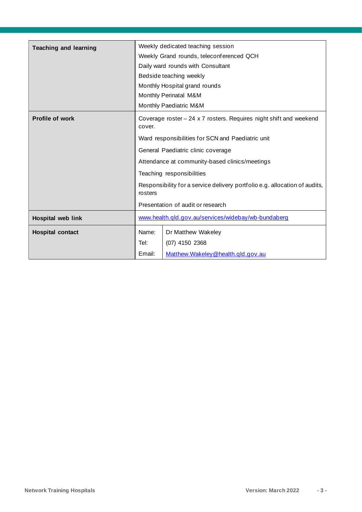| <b>Teaching and learning</b> | Weekly dedicated teaching session                                                                                                                       |                                     |  |
|------------------------------|---------------------------------------------------------------------------------------------------------------------------------------------------------|-------------------------------------|--|
|                              | Weekly Grand rounds, teleconferenced QCH                                                                                                                |                                     |  |
|                              | Daily ward rounds with Consultant                                                                                                                       |                                     |  |
|                              |                                                                                                                                                         | Bedside teaching weekly             |  |
|                              | Monthly Hospital grand rounds                                                                                                                           |                                     |  |
|                              | Monthly Perinatal M&M                                                                                                                                   |                                     |  |
|                              | Monthly Paediatric M&M                                                                                                                                  |                                     |  |
| <b>Profile of work</b>       | Coverage roster - 24 x 7 rosters. Requires night shift and weekend<br>cover.                                                                            |                                     |  |
|                              | Ward responsibilities for SCN and Paediatric unit                                                                                                       |                                     |  |
|                              | General Paediatric clinic coverage                                                                                                                      |                                     |  |
|                              | Attendance at community-based clinics/meetings                                                                                                          |                                     |  |
|                              | Teaching responsibilities<br>Responsibility for a service delivery portfolio e.g. allocation of audits,<br>rosters<br>Presentation of audit or research |                                     |  |
|                              |                                                                                                                                                         |                                     |  |
|                              |                                                                                                                                                         |                                     |  |
| <b>Hospital web link</b>     | www.health.gld.gov.au/services/widebay/wb-bundaberg                                                                                                     |                                     |  |
| <b>Hospital contact</b>      | Name:                                                                                                                                                   | Dr Matthew Wakeley                  |  |
|                              | Tel:                                                                                                                                                    | $(07)$ 4150 2368                    |  |
|                              | Email:                                                                                                                                                  | Matthew. Wakeley @health.gld.gov.au |  |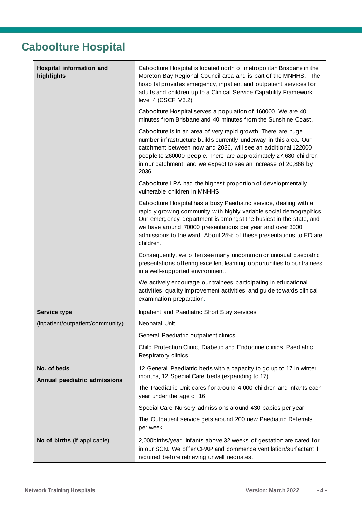# <span id="page-3-0"></span>**Caboolture Hospital**

| Hospital information and<br>highlights | Caboolture Hospital is located north of metropolitan Brisbane in the<br>Moreton Bay Regional Council area and is part of the MNHHS. The<br>hospital provides emergency, inpatient and outpatient services for<br>adults and children up to a Clinical Service Capability Framework<br>level 4 (CSCF V3.2),                                                    |
|----------------------------------------|---------------------------------------------------------------------------------------------------------------------------------------------------------------------------------------------------------------------------------------------------------------------------------------------------------------------------------------------------------------|
|                                        | Caboolture Hospital serves a population of 160000. We are 40<br>minutes from Brisbane and 40 minutes from the Sunshine Coast.                                                                                                                                                                                                                                 |
|                                        | Caboolture is in an area of very rapid growth. There are huge<br>number infrastructure builds currently underway in this area. Our<br>catchment between now and 2036, will see an additional 122000<br>people to 260000 people. There are approximately 27,680 children<br>in our catchment, and we expect to see an increase of 20,866 by<br>2036.           |
|                                        | Caboolture LPA had the highest proportion of developmentally<br>vulnerable children in MNHHS                                                                                                                                                                                                                                                                  |
|                                        | Caboolture Hospital has a busy Paediatric service, dealing with a<br>rapidly growing community with highly variable social demographics.<br>Our emergency department is amongst the busiest in the state, and<br>we have around 70000 presentations per year and over 3000<br>admissions to the ward. About 25% of these presentations to ED are<br>children. |
|                                        | Consequently, we often see many uncommon or unusual paediatric<br>presentations offering excellent learning opportunities to our trainees<br>in a well-supported environment.                                                                                                                                                                                 |
|                                        | We actively encourage our trainees participating in educational<br>activities, quality improvement activities, and guide towards clinical<br>examination preparation.                                                                                                                                                                                         |
| <b>Service type</b>                    | Inpatient and Paediatric Short Stay services                                                                                                                                                                                                                                                                                                                  |
| (inpatient/outpatient/community)       | Neonatal Unit                                                                                                                                                                                                                                                                                                                                                 |
|                                        | General Paediatric outpatient clinics                                                                                                                                                                                                                                                                                                                         |
|                                        | Child Protection Clinic, Diabetic and Endocrine clinics, Paediatric<br>Respiratory clinics.                                                                                                                                                                                                                                                                   |
| No. of beds                            | 12 General Paediatric beds with a capacity to go up to 17 in winter<br>months, 12 Special Care beds (expanding to 17)                                                                                                                                                                                                                                         |
| Annual paediatric admissions           | The Paediatric Unit cares for around 4,000 children and infants each<br>year under the age of 16                                                                                                                                                                                                                                                              |
|                                        | Special Care Nursery admissions around 430 babies per year                                                                                                                                                                                                                                                                                                    |
|                                        | The Outpatient service gets around 200 new Paediatric Referrals<br>per week                                                                                                                                                                                                                                                                                   |
| No of births (if applicable)           | 2,000 births/year. Infants above 32 weeks of gestation are cared for<br>in our SCN. We offer CPAP and commence ventilation/surfactant if<br>required before retrieving unwell neonates.                                                                                                                                                                       |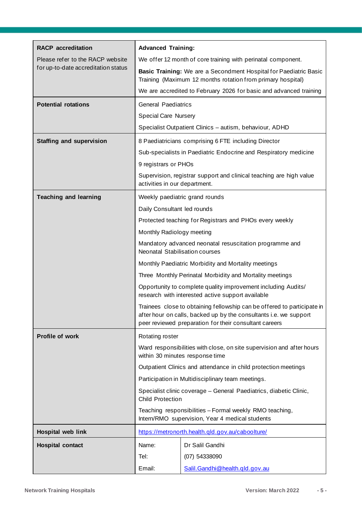| <b>RACP</b> accreditation           | <b>Advanced Training:</b>                                                                                                                                                                              |                                                                     |
|-------------------------------------|--------------------------------------------------------------------------------------------------------------------------------------------------------------------------------------------------------|---------------------------------------------------------------------|
| Please refer to the RACP website    | We offer 12 month of core training with perinatal component.                                                                                                                                           |                                                                     |
| for up-to-date accreditation status | Basic Training: We are a Secondment Hospital for Paediatric Basic<br>Training (Maximum 12 months rotation from primary hospital)                                                                       |                                                                     |
|                                     |                                                                                                                                                                                                        | We are accredited to February 2026 for basic and advanced training  |
| <b>Potential rotations</b>          | <b>General Paediatrics</b>                                                                                                                                                                             |                                                                     |
|                                     | <b>Special Care Nursery</b>                                                                                                                                                                            |                                                                     |
|                                     |                                                                                                                                                                                                        | Specialist Outpatient Clinics - autism, behaviour, ADHD             |
| <b>Staffing and supervision</b>     |                                                                                                                                                                                                        | 8 Paediatricians comprising 6 FTE including Director                |
|                                     |                                                                                                                                                                                                        | Sub-specialists in Paediatric Endocrine and Respiratory medicine    |
|                                     | 9 registrars or PHOs                                                                                                                                                                                   |                                                                     |
|                                     | activities in our department.                                                                                                                                                                          | Supervision, registrar support and clinical teaching are high value |
| <b>Teaching and learning</b>        |                                                                                                                                                                                                        | Weekly paediatric grand rounds                                      |
|                                     | Daily Consultant led rounds                                                                                                                                                                            |                                                                     |
|                                     |                                                                                                                                                                                                        | Protected teaching for Registrars and PHOs every weekly             |
|                                     | Monthly Radiology meeting                                                                                                                                                                              |                                                                     |
|                                     | Mandatory advanced neonatal resuscitation programme and<br>Neonatal Stabilisation courses                                                                                                              |                                                                     |
|                                     | Monthly Paediatric Morbidity and Mortality meetings                                                                                                                                                    |                                                                     |
|                                     | Three Monthly Perinatal Morbidity and Mortality meetings                                                                                                                                               |                                                                     |
|                                     | Opportunity to complete quality improvement including Audits/<br>research with interested active support available                                                                                     |                                                                     |
|                                     | Trainees close to obtaining fellowship can be offered to participate in<br>after hour on calls, backed up by the consultants i.e. we support<br>peer reviewed preparation for their consultant careers |                                                                     |
| <b>Profile of work</b>              | Rotating roster                                                                                                                                                                                        |                                                                     |
|                                     | Ward responsibilities with close, on site supervision and after hours<br>within 30 minutes response time                                                                                               |                                                                     |
|                                     |                                                                                                                                                                                                        | Outpatient Clinics and attendance in child protection meetings      |
|                                     |                                                                                                                                                                                                        | Participation in Multidisciplinary team meetings.                   |
|                                     | Specialist clinic coverage - General Paediatrics, diabetic Clinic,<br><b>Child Protection</b>                                                                                                          |                                                                     |
|                                     | Teaching responsibilities - Formal weekly RMO teaching,<br>Intern/RMO supervision, Year 4 medical students                                                                                             |                                                                     |
| Hospital web link                   | https://metronorth.health.gld.gov.au/caboolture/                                                                                                                                                       |                                                                     |
| <b>Hospital contact</b>             | Name:                                                                                                                                                                                                  | Dr Salil Gandhi                                                     |
|                                     | Tel:                                                                                                                                                                                                   | (07) 54338090                                                       |
|                                     | Email:                                                                                                                                                                                                 | Salil. Gandhi @health. gld. gov. au                                 |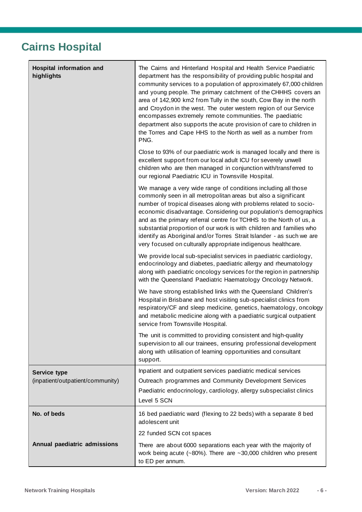# <span id="page-5-0"></span>**Cairns Hospital**

| Hospital information and<br>highlights           | The Cairns and Hinterland Hospital and Health Service Paediatric<br>department has the responsibility of providing public hospital and<br>community services to a population of approximately 67,000 children<br>and young people. The primary catchment of the CHHHS covers an<br>area of 142,900 km2 from Tully in the south, Cow Bay in the north<br>and Croydon in the west. The outer western region of our Service<br>encompasses extremely remote communities. The paediatric<br>department also supports the acute provision of care to children in<br>the Torres and Cape HHS to the North as well as a number from<br>PNG. |
|--------------------------------------------------|--------------------------------------------------------------------------------------------------------------------------------------------------------------------------------------------------------------------------------------------------------------------------------------------------------------------------------------------------------------------------------------------------------------------------------------------------------------------------------------------------------------------------------------------------------------------------------------------------------------------------------------|
|                                                  | Close to 93% of our paediatric work is managed locally and there is<br>excellent support from our local adult ICU for severely unwell<br>children who are then managed in conjunction with/transferred to<br>our regional Paediatric ICU in Townsville Hospital.                                                                                                                                                                                                                                                                                                                                                                     |
|                                                  | We manage a very wide range of conditions including all those<br>commonly seen in all metropolitan areas but also a significant<br>number of tropical diseases along with problems related to socio-<br>economic disadvantage. Considering our population's demographics<br>and as the primary referral centre for TCHHS to the North of us, a<br>substantial proportion of our work is with children and families who<br>identify as Aboriginal and/or Torres Strait Islander - as such we are<br>very focused on culturally appropriate indigenous healthcare.                                                                     |
|                                                  | We provide local sub-specialist services in paediatric cardiology,<br>endocrinology and diabetes, paediatric allergy and rheumatology<br>along with paediatric oncology services for the region in partnership<br>with the Queensland Paediatric Haematology Oncology Network.                                                                                                                                                                                                                                                                                                                                                       |
|                                                  | We have strong established links with the Queensland Children's<br>Hospital in Brisbane and host visiting sub-specialist clinics from<br>respiratory/CF and sleep medicine, genetics, haematology, oncology<br>and metabolic medicine along with a paediatric surgical outpatient<br>service from Townsville Hospital.                                                                                                                                                                                                                                                                                                               |
|                                                  | The unit is committed to providing consistent and high-quality<br>supervision to all our trainees, ensuring professional development<br>along with utilisation of learning opportunities and consultant<br>support.                                                                                                                                                                                                                                                                                                                                                                                                                  |
| Service type<br>(inpatient/outpatient/community) | Inpatient and outpatient services paediatric medical services<br>Outreach programmes and Community Development Services<br>Paediatric endocrinology, cardiology, allergy subspecialist clinics<br>Level 5 SCN                                                                                                                                                                                                                                                                                                                                                                                                                        |
| No. of beds                                      | 16 bed paediatric ward (flexing to 22 beds) with a separate 8 bed<br>adolescent unit                                                                                                                                                                                                                                                                                                                                                                                                                                                                                                                                                 |
|                                                  | 22 funded SCN cot spaces                                                                                                                                                                                                                                                                                                                                                                                                                                                                                                                                                                                                             |
| Annual paediatric admissions                     | There are about 6000 separations each year with the majority of<br>work being acute $(-80\%)$ . There are $-30,000$ children who present<br>to ED per annum.                                                                                                                                                                                                                                                                                                                                                                                                                                                                         |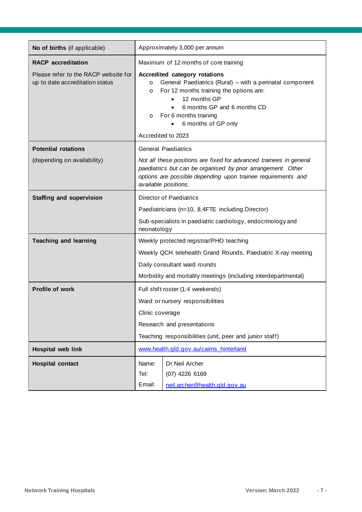| No of births (if applicable)                                            | Approximately 3,000 per annum                                                                                                                                                                                                                                                              |                                                                   |
|-------------------------------------------------------------------------|--------------------------------------------------------------------------------------------------------------------------------------------------------------------------------------------------------------------------------------------------------------------------------------------|-------------------------------------------------------------------|
| <b>RACP</b> accreditation                                               | Maximum of 12 months of core training                                                                                                                                                                                                                                                      |                                                                   |
| Please refer to the RACP website for<br>up to date accreditation status | Accredited category rotations<br>General Paediatrics (Rural) – with a perinatal component<br>$\circ$<br>For 12 months training the options are:<br>$\circ$<br>12 months GP<br>6 months GP and 6 months CD<br>For 6 months training<br>$\circ$<br>6 months of GP only<br>Accredited to 2023 |                                                                   |
| <b>Potential rotations</b>                                              |                                                                                                                                                                                                                                                                                            | <b>General Paediatrics</b>                                        |
| (depending on availability)                                             | Not all these positions are fixed for advanced trainees in general<br>paediatrics but can be organised by prior arrangement. Other<br>options are possible depending upon trainee requirements and<br>available positions.                                                                 |                                                                   |
| <b>Staffing and supervision</b>                                         | <b>Director of Paediatrics</b>                                                                                                                                                                                                                                                             |                                                                   |
|                                                                         | Paediatricians (n=10, 8.4FTE including Director)                                                                                                                                                                                                                                           |                                                                   |
|                                                                         | Sub-specialists in paediatric cardiology, endocrinology and<br>neonatology                                                                                                                                                                                                                 |                                                                   |
| <b>Teaching and learning</b>                                            | Weekly protected registrar/PHO teaching                                                                                                                                                                                                                                                    |                                                                   |
|                                                                         | Weekly QCH telehealth Grand Rounds, Paediatric X-ray meeting                                                                                                                                                                                                                               |                                                                   |
|                                                                         | Daily consultant ward rounds                                                                                                                                                                                                                                                               |                                                                   |
|                                                                         | Morbidity and mortality meetings (including interdepartmental)                                                                                                                                                                                                                             |                                                                   |
| <b>Profile of work</b>                                                  | Full shift roster (1:4 weekends)                                                                                                                                                                                                                                                           |                                                                   |
|                                                                         | Ward or nursery responsibilities                                                                                                                                                                                                                                                           |                                                                   |
|                                                                         | Clinic coverage                                                                                                                                                                                                                                                                            |                                                                   |
|                                                                         | Research and presentations                                                                                                                                                                                                                                                                 |                                                                   |
|                                                                         | Teaching responsibilities (unit, peer and junior staff)                                                                                                                                                                                                                                    |                                                                   |
| <b>Hospital web link</b>                                                | www.health.qld.gov.au/cairns_hinterland                                                                                                                                                                                                                                                    |                                                                   |
| <b>Hospital contact</b>                                                 | Name:<br>Tel:<br>Email:                                                                                                                                                                                                                                                                    | Dr Neil Archer<br>(07) 4226 6169<br>neil.archer@health.qld.gov.au |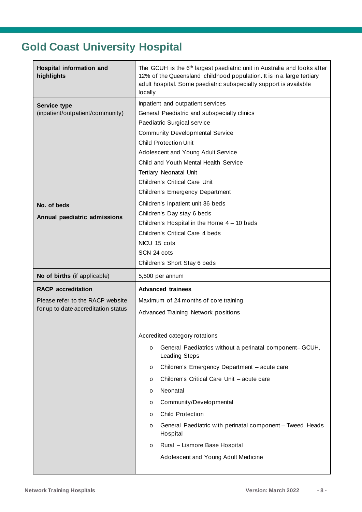# <span id="page-7-0"></span>**Gold Coast University Hospital**

| Hospital information and<br>highlights                                                               | The GCUH is the 6th largest paediatric unit in Australia and looks after<br>12% of the Queensland childhood population. It is in a large tertiary<br>adult hospital. Some paediatric subspecialty support is available<br>locally                                                                                                                                             |  |  |
|------------------------------------------------------------------------------------------------------|-------------------------------------------------------------------------------------------------------------------------------------------------------------------------------------------------------------------------------------------------------------------------------------------------------------------------------------------------------------------------------|--|--|
| <b>Service type</b><br>(inpatient/outpatient/community)                                              | Inpatient and outpatient services<br>General Paediatric and subspecialty clinics<br>Paediatric Surgical service<br><b>Community Developmental Service</b><br><b>Child Protection Unit</b><br>Adolescent and Young Adult Service<br>Child and Youth Mental Health Service<br><b>Tertiary Neonatal Unit</b><br>Children's Critical Care Unit<br>Children's Emergency Department |  |  |
| No. of beds<br>Annual paediatric admissions                                                          | Children's inpatient unit 36 beds<br>Children's Day stay 6 beds<br>Children's Hospital in the Home $4 - 10$ beds<br>Children's Critical Care 4 beds<br>NICU 15 cots<br>SCN 24 cots<br>Children's Short Stay 6 beds                                                                                                                                                            |  |  |
| No of births (if applicable)                                                                         | 5,500 per annum                                                                                                                                                                                                                                                                                                                                                               |  |  |
| <b>RACP</b> accreditation<br>Please refer to the RACP website<br>for up to date accreditation status | <b>Advanced trainees</b><br>Maximum of 24 months of core training<br>Advanced Training Network positions<br>Accredited category rotations<br>General Paediatrics without a perinatal component-GCUH,<br>$\circ$<br><b>Leading Steps</b><br>Children's Emergency Department - acute care<br>$\circ$<br>Children's Critical Care Unit - acute care<br>$\circ$                   |  |  |
|                                                                                                      | Neonatal<br>O<br>Community/Developmental<br>O<br><b>Child Protection</b><br>O<br>General Paediatric with perinatal component - Tweed Heads<br>O<br>Hospital<br>Rural - Lismore Base Hospital<br>O<br>Adolescent and Young Adult Medicine                                                                                                                                      |  |  |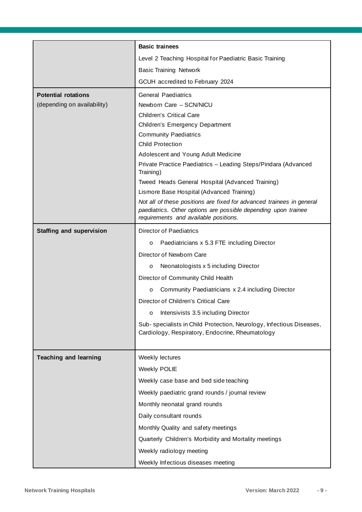|                                 | <b>Basic trainees</b>                                                                                   |  |
|---------------------------------|---------------------------------------------------------------------------------------------------------|--|
|                                 | Level 2 Teaching Hospital for Paediatric Basic Training                                                 |  |
|                                 | <b>Basic Training Network</b>                                                                           |  |
|                                 | GCUH accredited to February 2024                                                                        |  |
| <b>Potential rotations</b>      | <b>General Paediatrics</b>                                                                              |  |
| (depending on availability)     | Newborn Care - SCN/NICU                                                                                 |  |
|                                 | <b>Children's Critical Care</b>                                                                         |  |
|                                 | Children's Emergency Department                                                                         |  |
|                                 | <b>Community Paediatrics</b>                                                                            |  |
|                                 | <b>Child Protection</b>                                                                                 |  |
|                                 | Adolescent and Young Adult Medicine                                                                     |  |
|                                 | Private Practice Paediatrics - Leading Steps/Pindara (Advanced<br>Training)                             |  |
|                                 | Tweed Heads General Hospital (Advanced Training)                                                        |  |
|                                 | Lismore Base Hospital (Advanced Training)                                                               |  |
|                                 | Not all of these positions are fixed for advanced trainees in general                                   |  |
|                                 | paediatrics. Other options are possible depending upon trainee<br>requirements and available positions. |  |
| <b>Staffing and supervision</b> | <b>Director of Paediatrics</b>                                                                          |  |
|                                 | Paediatricians x 5.3 FTE including Director<br>$\circ$                                                  |  |
|                                 | Director of Newborn Care                                                                                |  |
|                                 | Neonatologists x 5 including Director<br>O                                                              |  |
|                                 | Director of Community Child Health                                                                      |  |
|                                 | Community Paediatricians x 2.4 including Director<br>O                                                  |  |
|                                 | Director of Children's Critical Care                                                                    |  |
|                                 | Intensivists 3.5 including Director<br>O                                                                |  |
|                                 | Sub-specialists in Child Protection, Neurology, Infectious Diseases,                                    |  |
|                                 | Cardiology, Respiratory, Endocrine, Rheumatology                                                        |  |
|                                 |                                                                                                         |  |
| <b>Teaching and learning</b>    | Weekly lectures                                                                                         |  |
|                                 | <b>Weekly POLIE</b>                                                                                     |  |
|                                 | Weekly case base and bed side teaching                                                                  |  |
|                                 | Weekly paediatric grand rounds / journal review                                                         |  |
|                                 | Monthly neonatal grand rounds                                                                           |  |
|                                 | Daily consultant rounds                                                                                 |  |
|                                 | Monthly Quality and safety meetings                                                                     |  |
|                                 | Quarterly Children's Morbidity and Mortality meetings                                                   |  |
|                                 | Weekly radiology meeting                                                                                |  |
|                                 | Weekly Infectious diseases meeting                                                                      |  |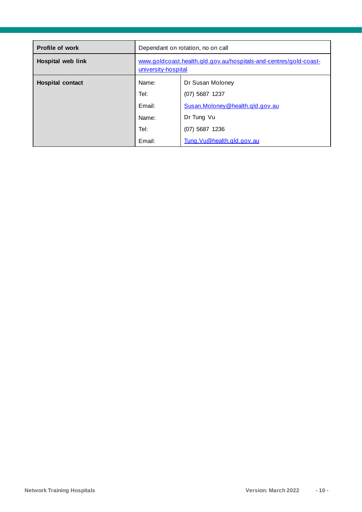| Dependant on rotation, no on call                                                        |                                                                           |
|------------------------------------------------------------------------------------------|---------------------------------------------------------------------------|
| www.goldcoast.health.gld.gov.au/hospitals-and-centres/gold-coast-<br>university-hospital |                                                                           |
| Name:<br>Tel:<br>Email:                                                                  | Dr Susan Moloney<br>$(07)$ 5687 1237<br>Susan. Moloney @health.gld.gov.au |
| Name:                                                                                    | Dr Tung Vu                                                                |
| Email:                                                                                   | $(07)$ 5687 1236<br>Tung. Vu@health.gld.gov.au                            |
|                                                                                          | Tel:                                                                      |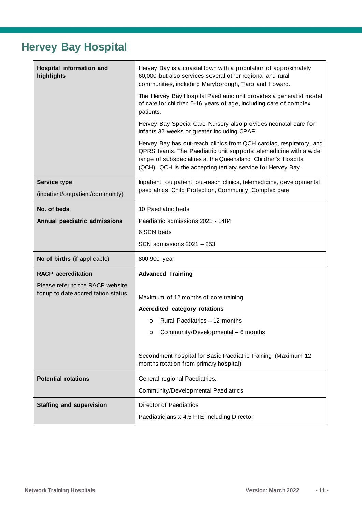### <span id="page-10-0"></span>**Hervey Bay Hospital**

| <b>Hospital information and</b><br>highlights    | Hervey Bay is a coastal town with a population of approximately<br>60,000 but also services several other regional and rural<br>communities, including Maryborough, Tiaro and Howard.                                                                                     |  |
|--------------------------------------------------|---------------------------------------------------------------------------------------------------------------------------------------------------------------------------------------------------------------------------------------------------------------------------|--|
|                                                  | The Hervey Bay Hospital Paediatric unit provides a generalist model<br>of care for children 0-16 years of age, including care of complex<br>patients.                                                                                                                     |  |
|                                                  | Hervey Bay Special Care Nursery also provides neonatal care for<br>infants 32 weeks or greater including CPAP.                                                                                                                                                            |  |
|                                                  | Hervey Bay has out-reach clinics from QCH cardiac, respiratory, and<br>QPRS teams. The Paediatric unit supports telemedicine with a wide<br>range of subspecialties at the Queensland Children's Hospital<br>(QCH). QCH is the accepting tertiary service for Hervey Bay. |  |
| Service type<br>(inpatient/outpatient/community) | Inpatient, outpatient, out-reach clinics, telemedicine, developmental<br>paediatrics, Child Protection, Community, Complex care                                                                                                                                           |  |
| No. of beds                                      | 10 Paediatric beds                                                                                                                                                                                                                                                        |  |
| Annual paediatric admissions                     | Paediatric admissions 2021 - 1484                                                                                                                                                                                                                                         |  |
|                                                  | 6 SCN beds                                                                                                                                                                                                                                                                |  |
|                                                  | SCN admissions 2021 - 253                                                                                                                                                                                                                                                 |  |
| No of births (if applicable)                     | 800-900 year                                                                                                                                                                                                                                                              |  |
| <b>RACP</b> accreditation                        | <b>Advanced Training</b>                                                                                                                                                                                                                                                  |  |
| Please refer to the RACP website                 |                                                                                                                                                                                                                                                                           |  |
| for up to date accreditation status              | Maximum of 12 months of core training                                                                                                                                                                                                                                     |  |
|                                                  | Accredited category rotations                                                                                                                                                                                                                                             |  |
|                                                  | Rural Paediatrics - 12 months<br>$\Omega$                                                                                                                                                                                                                                 |  |
|                                                  | Community/Developmental - 6 months<br>$\circ$                                                                                                                                                                                                                             |  |
|                                                  | Secondment hospital for Basic Paediatric Training (Maximum 12<br>months rotation from primary hospital)                                                                                                                                                                   |  |
| <b>Potential rotations</b>                       | General regional Paediatrics.                                                                                                                                                                                                                                             |  |
|                                                  | Community/Developmental Paediatrics                                                                                                                                                                                                                                       |  |
| <b>Staffing and supervision</b>                  | <b>Director of Paediatrics</b>                                                                                                                                                                                                                                            |  |
|                                                  | Paediatricians x 4.5 FTE including Director                                                                                                                                                                                                                               |  |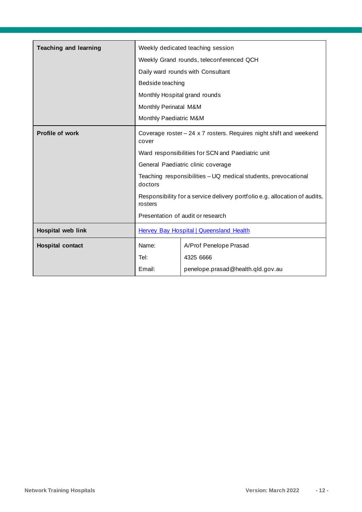| <b>Teaching and learning</b> |                                                                                       | Weekly dedicated teaching session |
|------------------------------|---------------------------------------------------------------------------------------|-----------------------------------|
|                              | Weekly Grand rounds, teleconferenced QCH                                              |                                   |
|                              |                                                                                       | Daily ward rounds with Consultant |
|                              | Bedside teaching                                                                      |                                   |
|                              | Monthly Hospital grand rounds                                                         |                                   |
|                              | Monthly Perinatal M&M                                                                 |                                   |
|                              | Monthly Paediatric M&M                                                                |                                   |
| <b>Profile of work</b>       | Coverage roster $-24 \times 7$ rosters. Requires night shift and weekend<br>cover     |                                   |
|                              | Ward responsibilities for SCN and Paediatric unit                                     |                                   |
|                              | General Paediatric clinic coverage                                                    |                                   |
|                              | Teaching responsibilities - UQ medical students, prevocational<br>doctors             |                                   |
|                              | Responsibility for a service delivery portfolio e.g. allocation of audits,<br>rosters |                                   |
|                              | Presentation of audit or research                                                     |                                   |
| Hospital web link            | <b>Hervey Bay Hospital   Queensland Health</b>                                        |                                   |
| <b>Hospital contact</b>      | Name:                                                                                 | A/Prof Penelope Prasad            |
|                              | Tel:                                                                                  | 4325 6666                         |
|                              | Email:                                                                                | penelope.prasad@health.qld.gov.au |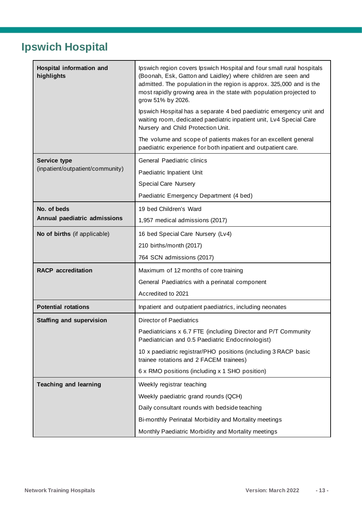# <span id="page-12-0"></span>**Ipswich Hospital**

| Hospital information and<br>highlights | Ipswich region covers Ipswich Hospital and four small rural hospitals<br>(Boonah, Esk, Gatton and Laidley) where children are seen and<br>admitted. The population in the region is approx. 325,000 and is the<br>most rapidly growing area in the state with population projected to<br>grow 51% by 2026. |
|----------------------------------------|------------------------------------------------------------------------------------------------------------------------------------------------------------------------------------------------------------------------------------------------------------------------------------------------------------|
|                                        | Ipswich Hospital has a separate 4 bed paediatric emergency unit and<br>waiting room, dedicated paediatric inpatient unit, Lv4 Special Care<br>Nursery and Child Protection Unit.                                                                                                                           |
|                                        | The volume and scope of patients makes for an excellent general<br>paediatric experience for both inpatient and outpatient care.                                                                                                                                                                           |
| <b>Service type</b>                    | General Paediatric clinics                                                                                                                                                                                                                                                                                 |
| (inpatient/outpatient/community)       | Paediatric Inpatient Unit                                                                                                                                                                                                                                                                                  |
|                                        | <b>Special Care Nursery</b>                                                                                                                                                                                                                                                                                |
|                                        | Paediatric Emergency Department (4 bed)                                                                                                                                                                                                                                                                    |
| No. of beds                            | 19 bed Children's Ward                                                                                                                                                                                                                                                                                     |
| Annual paediatric admissions           | 1,957 medical admissions (2017)                                                                                                                                                                                                                                                                            |
| No of births (if applicable)           | 16 bed Special Care Nursery (Lv4)                                                                                                                                                                                                                                                                          |
|                                        | 210 births/month (2017)                                                                                                                                                                                                                                                                                    |
|                                        | 764 SCN admissions (2017)                                                                                                                                                                                                                                                                                  |
| <b>RACP</b> accreditation              | Maximum of 12 months of core training                                                                                                                                                                                                                                                                      |
|                                        | General Paediatrics with a perinatal component                                                                                                                                                                                                                                                             |
|                                        | Accredited to 2021                                                                                                                                                                                                                                                                                         |
| <b>Potential rotations</b>             | Inpatient and outpatient paediatrics, including neonates                                                                                                                                                                                                                                                   |
| <b>Staffing and supervision</b>        | <b>Director of Paediatrics</b>                                                                                                                                                                                                                                                                             |
|                                        | Paediatricians x 6.7 FTE (including Director and P/T Community<br>Paediatrician and 0.5 Paediatric Endocrinologist)                                                                                                                                                                                        |
|                                        | 10 x paediatric registrar/PHO positions (including 3 RACP basic<br>trainee rotations and 2 FACEM trainees)                                                                                                                                                                                                 |
|                                        | 6 x RMO positions (including x 1 SHO position)                                                                                                                                                                                                                                                             |
| <b>Teaching and learning</b>           | Weekly registrar teaching                                                                                                                                                                                                                                                                                  |
|                                        | Weekly paediatric grand rounds (QCH)                                                                                                                                                                                                                                                                       |
|                                        | Daily consultant rounds with bedside teaching                                                                                                                                                                                                                                                              |
|                                        | Bi-monthly Perinatal Morbidity and Mortality meetings                                                                                                                                                                                                                                                      |
|                                        | Monthly Paediatric Morbidity and Mortality meetings                                                                                                                                                                                                                                                        |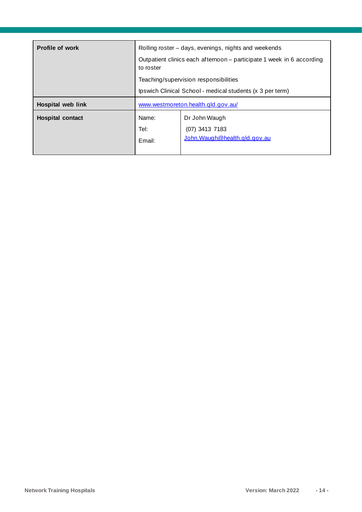| <b>Profile of work</b>  | Rolling roster – days, evenings, nights and weekends<br>Outpatient clinics each afternoon - participate 1 week in 6 according<br>to roster |                                                                                                    |
|-------------------------|--------------------------------------------------------------------------------------------------------------------------------------------|----------------------------------------------------------------------------------------------------|
|                         |                                                                                                                                            | Teaching/supervision responsibilities<br>Ipswich Clinical School - medical students (x 3 per term) |
| Hospital web link       | www.westmoreton.health.qld.gov.au/                                                                                                         |                                                                                                    |
| <b>Hospital contact</b> | Name:<br>Tel:<br>Email:                                                                                                                    | Dr John Waugh<br>$(07)$ 3413 7183<br>John. Waugh@health.gld.gov.au                                 |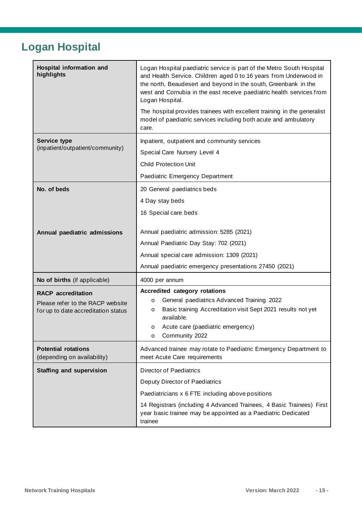# <span id="page-14-0"></span>**Logan Hospital**

| Hospital information and<br>highlights                                                               | Logan Hospital paediatric service is part of the Metro South Hospital<br>and Health Service. Children aged 0 to 16 years from Underwood in<br>the north, Beaudesert and beyond in the south, Greenbank in the<br>west and Cornubia in the east receive paediatric health services from<br>Logan Hospital.<br>The hospital provides trainees with excellent training in the generalist<br>model of paediatric services including both acute and ambulatory<br>care. |
|------------------------------------------------------------------------------------------------------|--------------------------------------------------------------------------------------------------------------------------------------------------------------------------------------------------------------------------------------------------------------------------------------------------------------------------------------------------------------------------------------------------------------------------------------------------------------------|
| Service type                                                                                         | Inpatient, outpatient and community services                                                                                                                                                                                                                                                                                                                                                                                                                       |
| (inpatient/outpatient/community)                                                                     | Special Care Nursery Level 4                                                                                                                                                                                                                                                                                                                                                                                                                                       |
|                                                                                                      | <b>Child Protection Unit</b>                                                                                                                                                                                                                                                                                                                                                                                                                                       |
|                                                                                                      | Paediatric Emergency Department                                                                                                                                                                                                                                                                                                                                                                                                                                    |
| No. of beds                                                                                          | 20 General paediatrics beds                                                                                                                                                                                                                                                                                                                                                                                                                                        |
|                                                                                                      | 4 Day stay beds                                                                                                                                                                                                                                                                                                                                                                                                                                                    |
|                                                                                                      | 16 Special care beds                                                                                                                                                                                                                                                                                                                                                                                                                                               |
| Annual paediatric admissions                                                                         | Annual paediatric admission: 5285 (2021)<br>Annual Paediatric Day Stay: 702 (2021)                                                                                                                                                                                                                                                                                                                                                                                 |
|                                                                                                      | Annual special care admission: 1309 (2021)                                                                                                                                                                                                                                                                                                                                                                                                                         |
|                                                                                                      | Annual paediatric emergency presentations 27450 (2021)                                                                                                                                                                                                                                                                                                                                                                                                             |
| No of births (if applicable)                                                                         | 4000 per annum                                                                                                                                                                                                                                                                                                                                                                                                                                                     |
| <b>RACP</b> accreditation<br>Please refer to the RACP website<br>for up to date accreditation status | Accredited category rotations<br>General paediatrics Advanced Training 2022<br>$\circ$<br>Basic training Accreditation visit Sept 2021 results not yet<br>O<br>available.<br>Acute care (paediatric emergency)<br>$\circ$<br>Community 2022<br>O                                                                                                                                                                                                                   |
| <b>Potential rotations</b><br>(depending on availability)                                            | Advanced trainee may rotate to Paediatric Emergency Department to<br>meet Acute Care requirements                                                                                                                                                                                                                                                                                                                                                                  |
| <b>Staffing and supervision</b>                                                                      | <b>Director of Paediatrics</b>                                                                                                                                                                                                                                                                                                                                                                                                                                     |
|                                                                                                      | Deputy Director of Paediatrics                                                                                                                                                                                                                                                                                                                                                                                                                                     |
|                                                                                                      | Paediatricians x 6 FTE including above positions                                                                                                                                                                                                                                                                                                                                                                                                                   |
|                                                                                                      | 14 Registrars (including 4 Advanced Trainees, 4 Basic Trainees) First<br>year basic trainee may be appointed as a Paediatric Dedicated<br>trainee                                                                                                                                                                                                                                                                                                                  |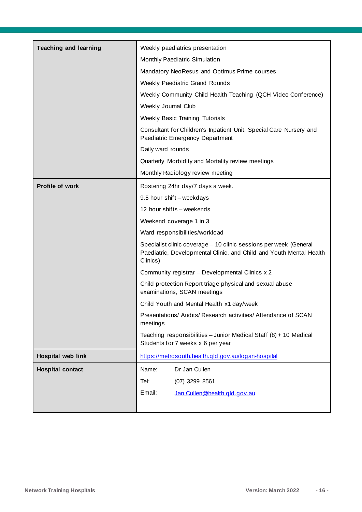| <b>Teaching and learning</b> |                                                                                                                                                      | Weekly paediatrics presentation                     |  |
|------------------------------|------------------------------------------------------------------------------------------------------------------------------------------------------|-----------------------------------------------------|--|
|                              | Monthly Paediatric Simulation                                                                                                                        |                                                     |  |
|                              |                                                                                                                                                      | Mandatory NeoResus and Optimus Prime courses        |  |
|                              |                                                                                                                                                      |                                                     |  |
|                              | Weekly Paediatric Grand Rounds                                                                                                                       |                                                     |  |
|                              | Weekly Community Child Health Teaching (QCH Video Conference)                                                                                        |                                                     |  |
|                              | Weekly Journal Club                                                                                                                                  |                                                     |  |
|                              |                                                                                                                                                      | <b>Weekly Basic Training Tutorials</b>              |  |
|                              | Consultant for Children's Inpatient Unit, Special Care Nursery and<br>Paediatric Emergency Department                                                |                                                     |  |
|                              | Daily ward rounds                                                                                                                                    |                                                     |  |
|                              |                                                                                                                                                      | Quarterly Morbidity and Mortality review meetings   |  |
|                              |                                                                                                                                                      | Monthly Radiology review meeting                    |  |
| <b>Profile of work</b>       | Rostering 24hr day/7 days a week.                                                                                                                    |                                                     |  |
|                              |                                                                                                                                                      | 9.5 hour shift - weekdays                           |  |
|                              |                                                                                                                                                      | 12 hour shifts - weekends                           |  |
|                              | Weekend coverage 1 in 3                                                                                                                              |                                                     |  |
|                              | Ward responsibilities/workload                                                                                                                       |                                                     |  |
|                              | Specialist clinic coverage - 10 clinic sessions per week (General<br>Paediatric, Developmental Clinic, and Child and Youth Mental Health<br>Clinics) |                                                     |  |
|                              |                                                                                                                                                      | Community registrar - Developmental Clinics x 2     |  |
|                              | Child protection Report triage physical and sexual abuse<br>examinations, SCAN meetings                                                              |                                                     |  |
|                              | Child Youth and Mental Health x1 day/week                                                                                                            |                                                     |  |
|                              | Presentations/ Audits/ Research activities/ Attendance of SCAN<br>meetings                                                                           |                                                     |  |
|                              | Teaching responsibilities - Junior Medical Staff (8) + 10 Medical<br>Students for 7 weeks x 6 per year                                               |                                                     |  |
| Hospital web link            |                                                                                                                                                      | https://metrosouth.health.qld.gov.au/logan-hospital |  |
| <b>Hospital contact</b>      | Name:                                                                                                                                                | Dr Jan Cullen                                       |  |
|                              | Tel:                                                                                                                                                 | $(07)$ 3299 8561                                    |  |
|                              | Email:                                                                                                                                               | Jan.Cullen@health.qld.gov.au                        |  |
|                              |                                                                                                                                                      |                                                     |  |
|                              |                                                                                                                                                      |                                                     |  |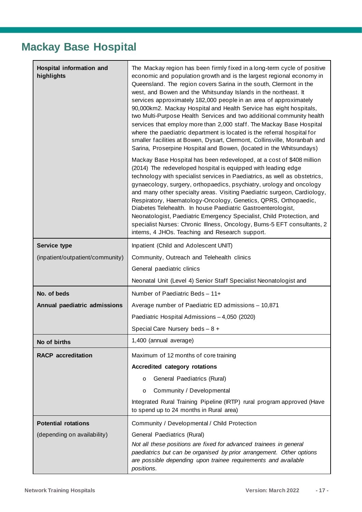### <span id="page-16-0"></span>**Mackay Base Hospital**

| <b>Hospital information and</b><br>highlights | The Mackay region has been firmly fixed in a long-term cycle of positive<br>economic and population growth and is the largest regional economy in<br>Queensland. The region covers Sarina in the south, Clermont in the<br>west, and Bowen and the Whitsunday Islands in the northeast. It<br>services approximately 182,000 people in an area of approximately<br>90,000km2. Mackay Hospital and Health Service has eight hospitals,<br>two Multi-Purpose Health Services and two additional community health<br>services that employ more than 2,000 staff. The Mackay Base Hospital<br>where the paediatric department is located is the referral hospital for<br>smaller facilities at Bowen, Dysart, Clermont, Collinsville, Moranbah and<br>Sarina, Proserpine Hospital and Bowen, (located in the Whitsundays)<br>Mackay Base Hospital has been redeveloped, at a cost of \$408 million<br>(2014) The redeveloped hospital is equipped with leading edge<br>technology with specialist services in Paediatrics, as well as obstetrics,<br>gynaecology, surgery, orthopaedics, psychiatry, urology and oncology<br>and many other specialty areas. Visiting Paediatric surgeon, Cardiology,<br>Respiratory, Haematology-Oncology, Genetics, QPRS, Orthopaedic,<br>Diabetes Telehealth. In house Paediatric Gastroenterologist,<br>Neonatologist, Paediatric Emergency Specialist, Child Protection, and<br>specialist Nurses: Chronic Illness, Oncology, Burns-5 EFT consultants, 2<br>interns, 4 JHOs. Teaching and Research support. |  |
|-----------------------------------------------|----------------------------------------------------------------------------------------------------------------------------------------------------------------------------------------------------------------------------------------------------------------------------------------------------------------------------------------------------------------------------------------------------------------------------------------------------------------------------------------------------------------------------------------------------------------------------------------------------------------------------------------------------------------------------------------------------------------------------------------------------------------------------------------------------------------------------------------------------------------------------------------------------------------------------------------------------------------------------------------------------------------------------------------------------------------------------------------------------------------------------------------------------------------------------------------------------------------------------------------------------------------------------------------------------------------------------------------------------------------------------------------------------------------------------------------------------------------------------------------------------------------------------------------------|--|
| <b>Service type</b>                           | Inpatient (Child and Adolescent UNIT)                                                                                                                                                                                                                                                                                                                                                                                                                                                                                                                                                                                                                                                                                                                                                                                                                                                                                                                                                                                                                                                                                                                                                                                                                                                                                                                                                                                                                                                                                                        |  |
| (inpatient/outpatient/community)              | Community, Outreach and Telehealth clinics                                                                                                                                                                                                                                                                                                                                                                                                                                                                                                                                                                                                                                                                                                                                                                                                                                                                                                                                                                                                                                                                                                                                                                                                                                                                                                                                                                                                                                                                                                   |  |
|                                               | General paediatric clinics                                                                                                                                                                                                                                                                                                                                                                                                                                                                                                                                                                                                                                                                                                                                                                                                                                                                                                                                                                                                                                                                                                                                                                                                                                                                                                                                                                                                                                                                                                                   |  |
|                                               | Neonatal Unit (Level 4) Senior Staff Specialist Neonatologist and                                                                                                                                                                                                                                                                                                                                                                                                                                                                                                                                                                                                                                                                                                                                                                                                                                                                                                                                                                                                                                                                                                                                                                                                                                                                                                                                                                                                                                                                            |  |
| No. of beds                                   | Number of Paediatric Beds - 11+                                                                                                                                                                                                                                                                                                                                                                                                                                                                                                                                                                                                                                                                                                                                                                                                                                                                                                                                                                                                                                                                                                                                                                                                                                                                                                                                                                                                                                                                                                              |  |
| Annual paediatric admissions                  | Average number of Paediatric ED admissions - 10,871                                                                                                                                                                                                                                                                                                                                                                                                                                                                                                                                                                                                                                                                                                                                                                                                                                                                                                                                                                                                                                                                                                                                                                                                                                                                                                                                                                                                                                                                                          |  |
|                                               | Paediatric Hospital Admissions - 4,050 (2020)                                                                                                                                                                                                                                                                                                                                                                                                                                                                                                                                                                                                                                                                                                                                                                                                                                                                                                                                                                                                                                                                                                                                                                                                                                                                                                                                                                                                                                                                                                |  |
|                                               | Special Care Nursery beds - 8 +                                                                                                                                                                                                                                                                                                                                                                                                                                                                                                                                                                                                                                                                                                                                                                                                                                                                                                                                                                                                                                                                                                                                                                                                                                                                                                                                                                                                                                                                                                              |  |
| No of births                                  | 1,400 (annual average)                                                                                                                                                                                                                                                                                                                                                                                                                                                                                                                                                                                                                                                                                                                                                                                                                                                                                                                                                                                                                                                                                                                                                                                                                                                                                                                                                                                                                                                                                                                       |  |
| <b>RACP</b> accreditation                     | Maximum of 12 months of core training                                                                                                                                                                                                                                                                                                                                                                                                                                                                                                                                                                                                                                                                                                                                                                                                                                                                                                                                                                                                                                                                                                                                                                                                                                                                                                                                                                                                                                                                                                        |  |
|                                               | Accredited category rotations                                                                                                                                                                                                                                                                                                                                                                                                                                                                                                                                                                                                                                                                                                                                                                                                                                                                                                                                                                                                                                                                                                                                                                                                                                                                                                                                                                                                                                                                                                                |  |
|                                               | General Paediatrics (Rural)<br>$\circ$                                                                                                                                                                                                                                                                                                                                                                                                                                                                                                                                                                                                                                                                                                                                                                                                                                                                                                                                                                                                                                                                                                                                                                                                                                                                                                                                                                                                                                                                                                       |  |
|                                               | Community / Developmental<br>O                                                                                                                                                                                                                                                                                                                                                                                                                                                                                                                                                                                                                                                                                                                                                                                                                                                                                                                                                                                                                                                                                                                                                                                                                                                                                                                                                                                                                                                                                                               |  |
|                                               | Integrated Rural Training Pipeline (IRTP) rural program approved (Have<br>to spend up to 24 months in Rural area)                                                                                                                                                                                                                                                                                                                                                                                                                                                                                                                                                                                                                                                                                                                                                                                                                                                                                                                                                                                                                                                                                                                                                                                                                                                                                                                                                                                                                            |  |
| <b>Potential rotations</b>                    | Community / Developmental / Child Protection                                                                                                                                                                                                                                                                                                                                                                                                                                                                                                                                                                                                                                                                                                                                                                                                                                                                                                                                                                                                                                                                                                                                                                                                                                                                                                                                                                                                                                                                                                 |  |
| (depending on availability)                   | General Paediatrics (Rural)                                                                                                                                                                                                                                                                                                                                                                                                                                                                                                                                                                                                                                                                                                                                                                                                                                                                                                                                                                                                                                                                                                                                                                                                                                                                                                                                                                                                                                                                                                                  |  |
|                                               | Not all these positions are fixed for advanced trainees in general<br>paediatrics but can be organised by prior arrangement. Other options<br>are possible depending upon trainee requirements and available<br>positions.                                                                                                                                                                                                                                                                                                                                                                                                                                                                                                                                                                                                                                                                                                                                                                                                                                                                                                                                                                                                                                                                                                                                                                                                                                                                                                                   |  |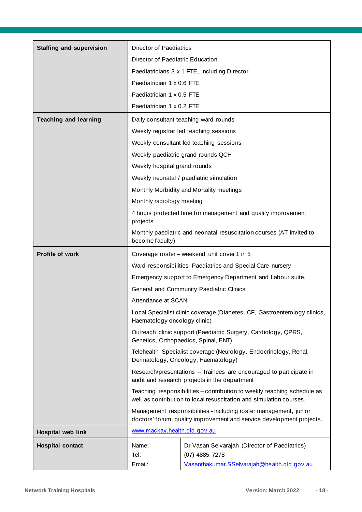| <b>Staffing and supervision</b> | <b>Director of Paediatrics</b>                                                                                                                 |                                                                                                                                            |  |
|---------------------------------|------------------------------------------------------------------------------------------------------------------------------------------------|--------------------------------------------------------------------------------------------------------------------------------------------|--|
|                                 | Director of Paediatric Education                                                                                                               |                                                                                                                                            |  |
|                                 | Paediatricians 3 x 1 FTE, including Director                                                                                                   |                                                                                                                                            |  |
|                                 | Paediatrician 1 x 0.6 FTE                                                                                                                      |                                                                                                                                            |  |
|                                 | Paediatrician 1 x 0.5 FTE                                                                                                                      |                                                                                                                                            |  |
|                                 | Paediatrician 1 x 0.2 FTE                                                                                                                      |                                                                                                                                            |  |
| <b>Teaching and learning</b>    |                                                                                                                                                | Daily consultant teaching ward rounds                                                                                                      |  |
|                                 |                                                                                                                                                | Weekly registrar led teaching sessions                                                                                                     |  |
|                                 |                                                                                                                                                | Weekly consultant led teaching sessions                                                                                                    |  |
|                                 |                                                                                                                                                | Weekly paediatric grand rounds QCH                                                                                                         |  |
|                                 | Weekly hospital grand rounds                                                                                                                   |                                                                                                                                            |  |
|                                 |                                                                                                                                                | Weekly neonatal / paediatric simulation                                                                                                    |  |
|                                 |                                                                                                                                                | Monthly Morbidity and Mortality meetings                                                                                                   |  |
|                                 | Monthly radiology meeting                                                                                                                      |                                                                                                                                            |  |
|                                 | projects                                                                                                                                       | 4 hours protected time for management and quality improvement                                                                              |  |
|                                 | become faculty)                                                                                                                                | Monthly paediatric and neonatal resuscitation courses (AT invited to                                                                       |  |
| Profile of work                 |                                                                                                                                                | Coverage roster - weekend unit cover 1 in 5                                                                                                |  |
|                                 |                                                                                                                                                | Ward responsibilities- Paediatrics and Special Care nursery                                                                                |  |
|                                 |                                                                                                                                                | Emergency support to Emergency Department and Labour suite.                                                                                |  |
|                                 |                                                                                                                                                | General and Community Paediatric Clinics                                                                                                   |  |
|                                 | Attendance at SCAN                                                                                                                             |                                                                                                                                            |  |
|                                 | Local Specialist clinic coverage (Diabetes, CF, Gastroenterology clinics,<br>Haematology oncology clinic)                                      |                                                                                                                                            |  |
|                                 | Outreach clinic support (Paediatric Surgery, Cardiology, QPRS,<br>Genetics, Orthopaedics, Spinal, ENT)                                         |                                                                                                                                            |  |
|                                 | Telehealth Specialist coverage (Neurology, Endocrinology, Renal,<br>Dermatology, Oncology, Haematology)                                        |                                                                                                                                            |  |
|                                 | Research/presentations - Trainees are encouraged to participate in<br>audit and research projects in the department                            |                                                                                                                                            |  |
|                                 | Teaching responsibilities - contribution to weekly teaching schedule as<br>well as contribution to local resuscitation and simulation courses. |                                                                                                                                            |  |
|                                 |                                                                                                                                                | Management responsibilities - including roster management, junior<br>doctors' forum, quality improvement and service development projects. |  |
| Hospital web link               | www.mackay.health.qld.gov.au                                                                                                                   |                                                                                                                                            |  |
| <b>Hospital contact</b>         | Name:                                                                                                                                          | Dr Vasan Selvarajah (Director of Paediatrics)                                                                                              |  |
|                                 | Tel:                                                                                                                                           | (07) 4885 7278                                                                                                                             |  |
|                                 | Email:                                                                                                                                         | Vasanthakumar.SSelvarajah@health.qld.gov.au                                                                                                |  |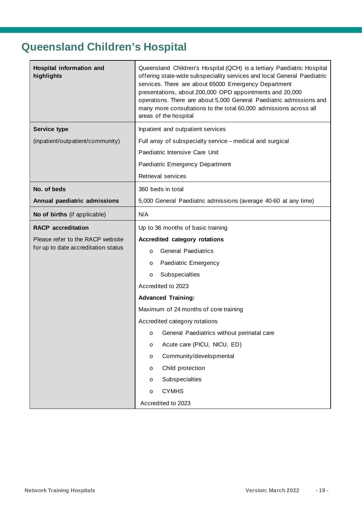# <span id="page-18-0"></span>**Queensland Children's Hospital**

| Hospital information and<br>highlights | Queensland Children's Hospital (QCH) is a tertiary Paediatric Hospital<br>offering state-wide subspeciality services and local General Paediatric<br>services. There are about 65000 Emergency Department<br>presentations, about 200,000 OPD appointments and 20,000<br>operations. There are about 5,000 General Paediatric admissions and<br>many more consultations to the total 60,000 admissions across all<br>areas of the hospital |  |  |
|----------------------------------------|--------------------------------------------------------------------------------------------------------------------------------------------------------------------------------------------------------------------------------------------------------------------------------------------------------------------------------------------------------------------------------------------------------------------------------------------|--|--|
| Service type                           | Inpatient and outpatient services                                                                                                                                                                                                                                                                                                                                                                                                          |  |  |
| (inpatient/outpatient/community)       | Full array of subspecialty service - medical and surgical                                                                                                                                                                                                                                                                                                                                                                                  |  |  |
|                                        | Paediatric Intensive Care Unit                                                                                                                                                                                                                                                                                                                                                                                                             |  |  |
|                                        | Paediatric Emergency Department                                                                                                                                                                                                                                                                                                                                                                                                            |  |  |
|                                        | Retrieval services                                                                                                                                                                                                                                                                                                                                                                                                                         |  |  |
| No. of beds                            | 360 beds in total                                                                                                                                                                                                                                                                                                                                                                                                                          |  |  |
| Annual paediatric admissions           | 5,000 General Paediatric admissions (average 40-60 at any time)                                                                                                                                                                                                                                                                                                                                                                            |  |  |
| No of births (if applicable)           | N/A                                                                                                                                                                                                                                                                                                                                                                                                                                        |  |  |
| <b>RACP</b> accreditation              | Up to 36 months of basic training                                                                                                                                                                                                                                                                                                                                                                                                          |  |  |
| Please refer to the RACP website       | Accredited category rotations                                                                                                                                                                                                                                                                                                                                                                                                              |  |  |
| for up to date accreditation status    | <b>General Paediatrics</b><br>$\circ$                                                                                                                                                                                                                                                                                                                                                                                                      |  |  |
|                                        | Paediatric Emergency<br>O                                                                                                                                                                                                                                                                                                                                                                                                                  |  |  |
|                                        | Subspecialties<br>$\circ$                                                                                                                                                                                                                                                                                                                                                                                                                  |  |  |
|                                        | Accredited to 2023                                                                                                                                                                                                                                                                                                                                                                                                                         |  |  |
|                                        | <b>Advanced Training:</b>                                                                                                                                                                                                                                                                                                                                                                                                                  |  |  |
|                                        | Maximum of 24 months of core training                                                                                                                                                                                                                                                                                                                                                                                                      |  |  |
|                                        | Accredited category rotations                                                                                                                                                                                                                                                                                                                                                                                                              |  |  |
|                                        | o General Paediatrics without perinatal care                                                                                                                                                                                                                                                                                                                                                                                               |  |  |
|                                        | Acute care (PICU, NICU, ED)<br>$\circ$                                                                                                                                                                                                                                                                                                                                                                                                     |  |  |
|                                        | Community/developmental<br>$\circ$                                                                                                                                                                                                                                                                                                                                                                                                         |  |  |
|                                        | Child protection<br>$\circ$                                                                                                                                                                                                                                                                                                                                                                                                                |  |  |
|                                        | Subspecialties<br>$\circ$                                                                                                                                                                                                                                                                                                                                                                                                                  |  |  |
|                                        | <b>CYMHS</b><br>$\circ$                                                                                                                                                                                                                                                                                                                                                                                                                    |  |  |
|                                        |                                                                                                                                                                                                                                                                                                                                                                                                                                            |  |  |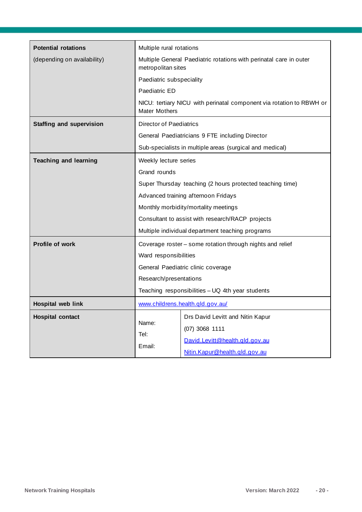| <b>Potential rotations</b>      | Multiple rural rotations                                                                 |                                                                      |  |  |
|---------------------------------|------------------------------------------------------------------------------------------|----------------------------------------------------------------------|--|--|
| (depending on availability)     | Multiple General Paediatric rotations with perinatal care in outer<br>metropolitan sites |                                                                      |  |  |
|                                 | Paediatric subspeciality                                                                 |                                                                      |  |  |
|                                 | Paediatric ED                                                                            |                                                                      |  |  |
|                                 | <b>Mater Mothers</b>                                                                     | NICU: tertiary NICU with perinatal component via rotation to RBWH or |  |  |
| <b>Staffing and supervision</b> | <b>Director of Paediatrics</b>                                                           |                                                                      |  |  |
|                                 |                                                                                          | General Paediatricians 9 FTE including Director                      |  |  |
|                                 |                                                                                          | Sub-specialists in multiple areas (surgical and medical)             |  |  |
| <b>Teaching and learning</b>    | Weekly lecture series                                                                    |                                                                      |  |  |
|                                 | Grand rounds                                                                             |                                                                      |  |  |
|                                 | Super Thursday teaching (2 hours protected teaching time)                                |                                                                      |  |  |
|                                 | Advanced training afternoon Fridays                                                      |                                                                      |  |  |
|                                 | Monthly morbidity/mortality meetings                                                     |                                                                      |  |  |
|                                 | Consultant to assist with research/RACP projects                                         |                                                                      |  |  |
|                                 |                                                                                          | Multiple individual department teaching programs                     |  |  |
| <b>Profile of work</b>          | Coverage roster - some rotation through nights and relief                                |                                                                      |  |  |
|                                 | Ward responsibilities                                                                    |                                                                      |  |  |
|                                 | General Paediatric clinic coverage                                                       |                                                                      |  |  |
|                                 | Research/presentations                                                                   |                                                                      |  |  |
|                                 | Teaching responsibilities - UQ 4th year students                                         |                                                                      |  |  |
| Hospital web link               |                                                                                          | www.childrens.health.qld.gov.au/                                     |  |  |
| <b>Hospital contact</b>         |                                                                                          | Drs David Levitt and Nitin Kapur                                     |  |  |
|                                 | Name:<br>Tel:<br>Email:                                                                  | $(07)$ 3068 1111                                                     |  |  |
|                                 |                                                                                          | David.Levitt@health.gld.gov.au                                       |  |  |
|                                 |                                                                                          | Nitin.Kapur@health.qld.gov.au                                        |  |  |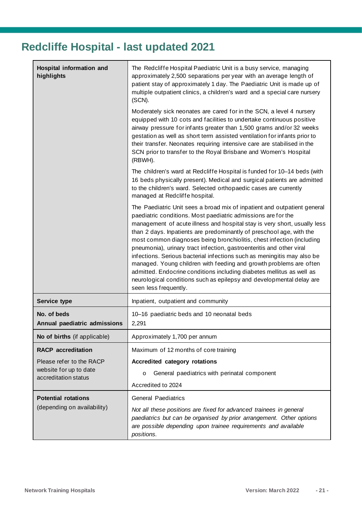# <span id="page-20-0"></span>**Redcliffe Hospital - last updated 2021**

| <b>Hospital information and</b><br>highlights                              | The Redcliffe Hospital Paediatric Unit is a busy service, managing<br>approximately 2,500 separations per year with an average length of<br>patient stay of approximately 1 day. The Paediatric Unit is made up of<br>multiple outpatient clinics, a children's ward and a special care nursery<br>(SCN).                                                                                                                                                                                                                                                                                                                                                                                                                                                                  |  |
|----------------------------------------------------------------------------|----------------------------------------------------------------------------------------------------------------------------------------------------------------------------------------------------------------------------------------------------------------------------------------------------------------------------------------------------------------------------------------------------------------------------------------------------------------------------------------------------------------------------------------------------------------------------------------------------------------------------------------------------------------------------------------------------------------------------------------------------------------------------|--|
|                                                                            | Moderately sick neonates are cared for in the SCN, a level 4 nursery<br>equipped with 10 cots and facilities to undertake continuous positive<br>airway pressure for infants greater than 1,500 grams and/or 32 weeks<br>gestation as well as short term assisted ventilation for infants prior to<br>their transfer. Neonates requiring intensive care are stabilised in the<br>SCN prior to transfer to the Royal Brisbane and Women's Hospital<br>(RBWH).                                                                                                                                                                                                                                                                                                               |  |
|                                                                            | The children's ward at Redcliffe Hospital is funded for 10-14 beds (with<br>16 beds physically present). Medical and surgical patients are admitted<br>to the children's ward. Selected orthopaedic cases are currently<br>managed at Redcliffe hospital.                                                                                                                                                                                                                                                                                                                                                                                                                                                                                                                  |  |
|                                                                            | The Paediatric Unit sees a broad mix of inpatient and outpatient general<br>paediatric conditions. Most paediatric admissions are for the<br>management of acute illness and hospital stay is very short, usually less<br>than 2 days. Inpatients are predominantly of preschool age, with the<br>most common diagnoses being bronchiolitis, chest infection (including<br>pneumonia), urinary tract infection, gastroenteritis and other viral<br>infections. Serious bacterial infections such as meningitis may also be<br>managed. Young children with feeding and growth problems are often<br>admitted. Endocrine conditions including diabetes mellitus as well as<br>neurological conditions such as epilepsy and developmental delay are<br>seen less frequently. |  |
| Service type                                                               | Inpatient, outpatient and community                                                                                                                                                                                                                                                                                                                                                                                                                                                                                                                                                                                                                                                                                                                                        |  |
| No. of beds<br>Annual paediatric admissions                                | 10-16 paediatric beds and 10 neonatal beds<br>2,291                                                                                                                                                                                                                                                                                                                                                                                                                                                                                                                                                                                                                                                                                                                        |  |
| No of births (if applicable)                                               | Approximately 1,700 per annum                                                                                                                                                                                                                                                                                                                                                                                                                                                                                                                                                                                                                                                                                                                                              |  |
| <b>RACP</b> accreditation                                                  | Maximum of 12 months of core training                                                                                                                                                                                                                                                                                                                                                                                                                                                                                                                                                                                                                                                                                                                                      |  |
| Please refer to the RACP<br>website for up to date<br>accreditation status | Accredited category rotations                                                                                                                                                                                                                                                                                                                                                                                                                                                                                                                                                                                                                                                                                                                                              |  |
|                                                                            | General paediatrics with perinatal component<br>O                                                                                                                                                                                                                                                                                                                                                                                                                                                                                                                                                                                                                                                                                                                          |  |
|                                                                            | Accredited to 2024                                                                                                                                                                                                                                                                                                                                                                                                                                                                                                                                                                                                                                                                                                                                                         |  |
| <b>Potential rotations</b><br>(depending on availability)                  | <b>General Paediatrics</b>                                                                                                                                                                                                                                                                                                                                                                                                                                                                                                                                                                                                                                                                                                                                                 |  |
|                                                                            | Not all these positions are fixed for advanced trainees in general<br>paediatrics but can be organised by prior arrangement. Other options<br>are possible depending upon trainee requirements and available<br>positions.                                                                                                                                                                                                                                                                                                                                                                                                                                                                                                                                                 |  |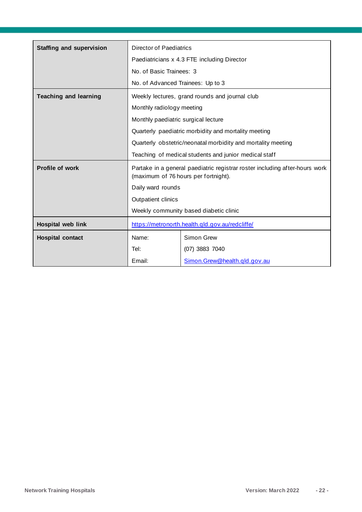| <b>Staffing and supervision</b> | Director of Paediatrics                                                                                             |                                                      |
|---------------------------------|---------------------------------------------------------------------------------------------------------------------|------------------------------------------------------|
|                                 | Paediatricians x 4.3 FTE including Director                                                                         |                                                      |
|                                 | No. of Basic Trainees: 3                                                                                            |                                                      |
|                                 | No. of Advanced Trainees: Up to 3                                                                                   |                                                      |
| <b>Teaching and learning</b>    | Weekly lectures, grand rounds and journal club                                                                      |                                                      |
|                                 | Monthly radiology meeting                                                                                           |                                                      |
|                                 | Monthly paediatric surgical lecture                                                                                 |                                                      |
|                                 |                                                                                                                     | Quarterly paediatric morbidity and mortality meeting |
|                                 | Quarterly obstetric/neonatal morbidity and mortality meeting                                                        |                                                      |
|                                 | Teaching of medical students and junior medical staff                                                               |                                                      |
| <b>Profile of work</b>          | Partake in a general paediatric registrar roster including after-hours work<br>(maximum of 76 hours per fortnight). |                                                      |
|                                 | Daily ward rounds                                                                                                   |                                                      |
|                                 | Outpatient clinics                                                                                                  |                                                      |
|                                 | Weekly community based diabetic clinic                                                                              |                                                      |
| Hospital web link               | https://metronorth.health.qld.gov.au/redcliffe/                                                                     |                                                      |
| <b>Hospital contact</b>         | Name:                                                                                                               | Simon Grew                                           |
|                                 | Tel:                                                                                                                | (07) 3883 7040                                       |
|                                 | Email:                                                                                                              | Simon.Grew@health.gld.gov.au                         |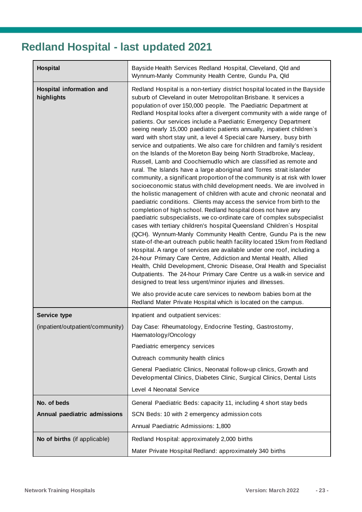# <span id="page-22-0"></span>**Redland Hospital - last updated 2021**

| <b>Hospital</b>                                         | Bayside Health Services Redland Hospital, Cleveland, Qld and<br>Wynnum-Manly Community Health Centre, Gundu Pa, Qld                                                                                                                                                                                                                                                                                                                                                                                                                                                                                                                                                                                                                                                                                                                                                                                                                                                                                                                                                                                                                                                                                                                                                                                                                                                                                                                                                                                                                                                                                                                                                                                                                                                                                                                                                                                                                                                                                                 |
|---------------------------------------------------------|---------------------------------------------------------------------------------------------------------------------------------------------------------------------------------------------------------------------------------------------------------------------------------------------------------------------------------------------------------------------------------------------------------------------------------------------------------------------------------------------------------------------------------------------------------------------------------------------------------------------------------------------------------------------------------------------------------------------------------------------------------------------------------------------------------------------------------------------------------------------------------------------------------------------------------------------------------------------------------------------------------------------------------------------------------------------------------------------------------------------------------------------------------------------------------------------------------------------------------------------------------------------------------------------------------------------------------------------------------------------------------------------------------------------------------------------------------------------------------------------------------------------------------------------------------------------------------------------------------------------------------------------------------------------------------------------------------------------------------------------------------------------------------------------------------------------------------------------------------------------------------------------------------------------------------------------------------------------------------------------------------------------|
| Hospital information and<br>highlights                  | Redland Hospital is a non-tertiary district hospital located in the Bayside<br>suburb of Cleveland in outer Metropolitan Brisbane. It services a<br>population of over 150,000 people. The Paediatric Department at<br>Redland Hospital looks after a divergent community with a wide range of<br>patients. Our services include a Paediatric Emergency Department<br>seeing nearly 15,000 paediatric patients annually, inpatient children's<br>ward with short stay unit, a level 4 Special care Nursery, busy birth<br>service and outpatients. We also care for children and family's resident<br>on the Islands of the Moreton Bay being North Stradbroke, Macleay,<br>Russell, Lamb and Coochiemudlo which are classified as remote and<br>rural. The Islands have a large aboriginal and Torres strait islander<br>community, a significant proportion of the community is at risk with lower<br>socioeconomic status with child development needs. We are involved in<br>the holistic management of children with acute and chronic neonatal and<br>paediatric conditions. Clients may access the service from birth to the<br>completion of high school. Redland hospital does not have any<br>paediatric subspecialists, we co-ordinate care of complex subspecialist<br>cases with tertiary children's hospital Queensland Children's Hospital<br>(QCH). Wynnum-Manly Community Health Centre, Gundu Pa is the new<br>state-of-the-art outreach public health facility located 15km from Redland<br>Hospital. A range of services are available under one roof, including a<br>24-hour Primary Care Centre, Addiction and Mental Health, Allied<br>Health, Child Development, Chronic Disease, Oral Health and Specialist<br>Outpatients. The 24-hour Primary Care Centre us a walk-in service and<br>designed to treat less urgent/minor injuries and illnesses.<br>We also provide acute care services to newborn babies born at the<br>Redland Mater Private Hospital which is located on the campus. |
|                                                         |                                                                                                                                                                                                                                                                                                                                                                                                                                                                                                                                                                                                                                                                                                                                                                                                                                                                                                                                                                                                                                                                                                                                                                                                                                                                                                                                                                                                                                                                                                                                                                                                                                                                                                                                                                                                                                                                                                                                                                                                                     |
| <b>Service type</b><br>(inpatient/outpatient/community) | Inpatient and outpatient services:<br>Day Case: Rheumatology, Endocrine Testing, Gastrostomy,<br>Haematology/Oncology                                                                                                                                                                                                                                                                                                                                                                                                                                                                                                                                                                                                                                                                                                                                                                                                                                                                                                                                                                                                                                                                                                                                                                                                                                                                                                                                                                                                                                                                                                                                                                                                                                                                                                                                                                                                                                                                                               |
|                                                         | Paediatric emergency services                                                                                                                                                                                                                                                                                                                                                                                                                                                                                                                                                                                                                                                                                                                                                                                                                                                                                                                                                                                                                                                                                                                                                                                                                                                                                                                                                                                                                                                                                                                                                                                                                                                                                                                                                                                                                                                                                                                                                                                       |
|                                                         | Outreach community health clinics                                                                                                                                                                                                                                                                                                                                                                                                                                                                                                                                                                                                                                                                                                                                                                                                                                                                                                                                                                                                                                                                                                                                                                                                                                                                                                                                                                                                                                                                                                                                                                                                                                                                                                                                                                                                                                                                                                                                                                                   |
|                                                         | General Paediatric Clinics, Neonatal follow-up clinics, Growth and<br>Developmental Clinics, Diabetes Clinic, Surgical Clinics, Dental Lists                                                                                                                                                                                                                                                                                                                                                                                                                                                                                                                                                                                                                                                                                                                                                                                                                                                                                                                                                                                                                                                                                                                                                                                                                                                                                                                                                                                                                                                                                                                                                                                                                                                                                                                                                                                                                                                                        |
|                                                         | Level 4 Neonatal Service                                                                                                                                                                                                                                                                                                                                                                                                                                                                                                                                                                                                                                                                                                                                                                                                                                                                                                                                                                                                                                                                                                                                                                                                                                                                                                                                                                                                                                                                                                                                                                                                                                                                                                                                                                                                                                                                                                                                                                                            |
| No. of beds                                             | General Paediatric Beds: capacity 11, including 4 short stay beds                                                                                                                                                                                                                                                                                                                                                                                                                                                                                                                                                                                                                                                                                                                                                                                                                                                                                                                                                                                                                                                                                                                                                                                                                                                                                                                                                                                                                                                                                                                                                                                                                                                                                                                                                                                                                                                                                                                                                   |
| Annual paediatric admissions                            | SCN Beds: 10 with 2 emergency admission cots                                                                                                                                                                                                                                                                                                                                                                                                                                                                                                                                                                                                                                                                                                                                                                                                                                                                                                                                                                                                                                                                                                                                                                                                                                                                                                                                                                                                                                                                                                                                                                                                                                                                                                                                                                                                                                                                                                                                                                        |
|                                                         | Annual Paediatric Admissions: 1,800                                                                                                                                                                                                                                                                                                                                                                                                                                                                                                                                                                                                                                                                                                                                                                                                                                                                                                                                                                                                                                                                                                                                                                                                                                                                                                                                                                                                                                                                                                                                                                                                                                                                                                                                                                                                                                                                                                                                                                                 |
| No of births (if applicable)                            | Redland Hospital: approximately 2,000 births                                                                                                                                                                                                                                                                                                                                                                                                                                                                                                                                                                                                                                                                                                                                                                                                                                                                                                                                                                                                                                                                                                                                                                                                                                                                                                                                                                                                                                                                                                                                                                                                                                                                                                                                                                                                                                                                                                                                                                        |
|                                                         | Mater Private Hospital Redland: approximately 340 births                                                                                                                                                                                                                                                                                                                                                                                                                                                                                                                                                                                                                                                                                                                                                                                                                                                                                                                                                                                                                                                                                                                                                                                                                                                                                                                                                                                                                                                                                                                                                                                                                                                                                                                                                                                                                                                                                                                                                            |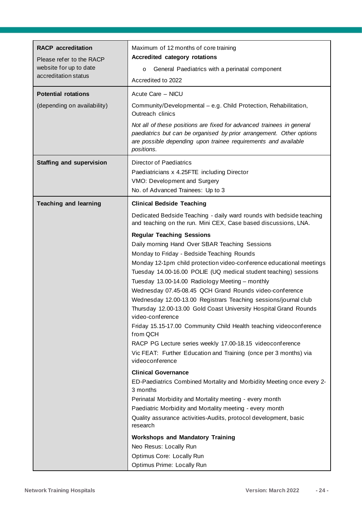| <b>RACP</b> accreditation                                                  | Maximum of 12 months of core training                                                                                                                                                                                         |  |  |
|----------------------------------------------------------------------------|-------------------------------------------------------------------------------------------------------------------------------------------------------------------------------------------------------------------------------|--|--|
| Please refer to the RACP<br>website for up to date<br>accreditation status | <b>Accredited category rotations</b>                                                                                                                                                                                          |  |  |
|                                                                            | General Paediatrics with a perinatal component<br>$\circ$                                                                                                                                                                     |  |  |
|                                                                            | Accredited to 2022                                                                                                                                                                                                            |  |  |
|                                                                            |                                                                                                                                                                                                                               |  |  |
| <b>Potential rotations</b>                                                 | Acute Care - NICU                                                                                                                                                                                                             |  |  |
| (depending on availability)                                                | Community/Developmental - e.g. Child Protection, Rehabilitation,<br>Outreach clinics                                                                                                                                          |  |  |
|                                                                            | Not all of these positions are fixed for advanced trainees in general<br>paediatrics but can be organised by prior arrangement. Other options<br>are possible depending upon trainee requirements and available<br>positions. |  |  |
| <b>Staffing and supervision</b>                                            | <b>Director of Paediatrics</b>                                                                                                                                                                                                |  |  |
|                                                                            | Paediatricians x 4.25FTE including Director                                                                                                                                                                                   |  |  |
|                                                                            | VMO: Development and Surgery                                                                                                                                                                                                  |  |  |
|                                                                            | No. of Advanced Trainees: Up to 3                                                                                                                                                                                             |  |  |
| <b>Teaching and learning</b>                                               | <b>Clinical Bedside Teaching</b>                                                                                                                                                                                              |  |  |
|                                                                            | Dedicated Bedside Teaching - daily ward rounds with bedside teaching<br>and teaching on the run. Mini CEX, Case based discussions, LNA.                                                                                       |  |  |
|                                                                            | <b>Regular Teaching Sessions</b>                                                                                                                                                                                              |  |  |
|                                                                            | Daily morning Hand Over SBAR Teaching Sessions                                                                                                                                                                                |  |  |
|                                                                            | Monday to Friday - Bedside Teaching Rounds                                                                                                                                                                                    |  |  |
|                                                                            | Monday 12-1pm child protection video-conference educational meetings                                                                                                                                                          |  |  |
|                                                                            | Tuesday 14.00-16.00 POLIE (UQ medical student teaching) sessions                                                                                                                                                              |  |  |
|                                                                            | Tuesday 13.00-14.00 Radiology Meeting - monthly                                                                                                                                                                               |  |  |
|                                                                            | Wednesday 07.45-08.45 QCH Grand Rounds video-conference                                                                                                                                                                       |  |  |
|                                                                            | Wednesday 12.00-13.00 Registrars Teaching sessions/journal club<br>Thursday 12.00-13.00 Gold Coast University Hospital Grand Rounds                                                                                           |  |  |
|                                                                            | video-conference                                                                                                                                                                                                              |  |  |
|                                                                            | Friday 15.15-17.00 Community Child Health teaching videoconference<br>from QCH                                                                                                                                                |  |  |
|                                                                            | RACP PG Lecture series weekly 17.00-18.15 videoconference                                                                                                                                                                     |  |  |
|                                                                            | Vic FEAT: Further Education and Training (once per 3 months) via                                                                                                                                                              |  |  |
|                                                                            | videoconference                                                                                                                                                                                                               |  |  |
|                                                                            | <b>Clinical Governance</b>                                                                                                                                                                                                    |  |  |
|                                                                            | ED-Paediatrics Combined Mortality and Morbidity Meeting once every 2-<br>3 months                                                                                                                                             |  |  |
|                                                                            | Perinatal Morbidity and Mortality meeting - every month                                                                                                                                                                       |  |  |
|                                                                            | Paediatric Morbidity and Mortality meeting - every month                                                                                                                                                                      |  |  |
|                                                                            | Quality assurance activities-Audits, protocol development, basic<br>research                                                                                                                                                  |  |  |
|                                                                            |                                                                                                                                                                                                                               |  |  |
|                                                                            | <b>Workshops and Mandatory Training</b>                                                                                                                                                                                       |  |  |
|                                                                            | Neo Resus: Locally Run                                                                                                                                                                                                        |  |  |
|                                                                            | Optimus Core: Locally Run                                                                                                                                                                                                     |  |  |
|                                                                            | Optimus Prime: Locally Run                                                                                                                                                                                                    |  |  |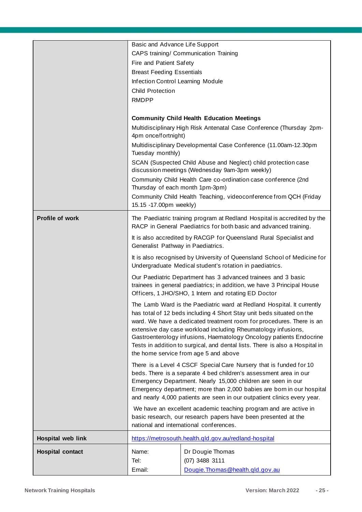|                         | Basic and Advance Life Support                                                                                                                                                                                                                                                                                                                                                                                                                                                           |                                                                                                                                                                                                  |
|-------------------------|------------------------------------------------------------------------------------------------------------------------------------------------------------------------------------------------------------------------------------------------------------------------------------------------------------------------------------------------------------------------------------------------------------------------------------------------------------------------------------------|--------------------------------------------------------------------------------------------------------------------------------------------------------------------------------------------------|
|                         |                                                                                                                                                                                                                                                                                                                                                                                                                                                                                          | CAPS training/ Communication Training                                                                                                                                                            |
|                         | Fire and Patient Safety                                                                                                                                                                                                                                                                                                                                                                                                                                                                  |                                                                                                                                                                                                  |
|                         | <b>Breast Feeding Essentials</b>                                                                                                                                                                                                                                                                                                                                                                                                                                                         |                                                                                                                                                                                                  |
|                         | Infection Control Learning Module                                                                                                                                                                                                                                                                                                                                                                                                                                                        |                                                                                                                                                                                                  |
|                         | <b>Child Protection</b>                                                                                                                                                                                                                                                                                                                                                                                                                                                                  |                                                                                                                                                                                                  |
|                         | <b>RMDPP</b>                                                                                                                                                                                                                                                                                                                                                                                                                                                                             |                                                                                                                                                                                                  |
|                         |                                                                                                                                                                                                                                                                                                                                                                                                                                                                                          | <b>Community Child Health Education Meetings</b>                                                                                                                                                 |
|                         | 4pm once/fortnight)                                                                                                                                                                                                                                                                                                                                                                                                                                                                      | Multidisciplinary High Risk Antenatal Case Conference (Thursday 2pm-                                                                                                                             |
|                         | Tuesday monthly)                                                                                                                                                                                                                                                                                                                                                                                                                                                                         | Multidisciplinary Developmental Case Conference (11.00am-12.30pm                                                                                                                                 |
|                         |                                                                                                                                                                                                                                                                                                                                                                                                                                                                                          | SCAN (Suspected Child Abuse and Neglect) child protection case<br>discussion meetings (Wednesday 9am-3pm weekly)                                                                                 |
|                         | Thursday of each month 1pm-3pm)                                                                                                                                                                                                                                                                                                                                                                                                                                                          | Community Child Health Care co-ordination case conference (2nd                                                                                                                                   |
|                         | 15.15 -17.00pm weekly)                                                                                                                                                                                                                                                                                                                                                                                                                                                                   | Community Child Health Teaching, videoconference from QCH (Friday                                                                                                                                |
| Profile of work         |                                                                                                                                                                                                                                                                                                                                                                                                                                                                                          | The Paediatric training program at Redland Hospital is accredited by the<br>RACP in General Paediatrics for both basic and advanced training.                                                    |
|                         | Generalist Pathway in Paediatrics.                                                                                                                                                                                                                                                                                                                                                                                                                                                       | It is also accredited by RACGP for Queensland Rural Specialist and                                                                                                                               |
|                         |                                                                                                                                                                                                                                                                                                                                                                                                                                                                                          | It is also recognised by University of Queensland School of Medicine for<br>Undergraduate Medical student's rotation in paediatrics.                                                             |
|                         |                                                                                                                                                                                                                                                                                                                                                                                                                                                                                          | Our Paediatric Department has 3 advanced trainees and 3 basic<br>trainees in general paediatrics; in addition, we have 3 Principal House<br>Officers, 1 JHO/SHO, 1 Intern and rotating ED Doctor |
|                         | The Lamb Ward is the Paediatric ward at Redland Hospital. It currently<br>has total of 12 beds including 4 Short Stay unit beds situated on the<br>ward. We have a dedicated treatment room for procedures. There is an<br>extensive day case workload including Rheumatology infusions,<br>Gastroenterology infusions, Haematology Oncology patients Endocrine<br>Tests in addition to surgical, and dental lists. There is also a Hospital in<br>the home service from age 5 and above |                                                                                                                                                                                                  |
|                         | There is a Level 4 CSCF Special Care Nursery that is funded for 10<br>beds. There is a separate 4 bed children's assessment area in our<br>Emergency Department. Nearly 15,000 children are seen in our<br>Emergency department; more than 2,000 babies are born in our hospital<br>and nearly 4,000 patients are seen in our outpatient clinics every year.                                                                                                                             |                                                                                                                                                                                                  |
|                         | We have an excellent academic teaching program and are active in<br>basic research, our research papers have been presented at the<br>national and international conferences.                                                                                                                                                                                                                                                                                                            |                                                                                                                                                                                                  |
| Hospital web link       |                                                                                                                                                                                                                                                                                                                                                                                                                                                                                          | https://metrosouth.health.qld.gov.au/redland-hospital                                                                                                                                            |
|                         | Name:                                                                                                                                                                                                                                                                                                                                                                                                                                                                                    |                                                                                                                                                                                                  |
| <b>Hospital contact</b> | Tel:                                                                                                                                                                                                                                                                                                                                                                                                                                                                                     | Dr Dougie Thomas<br>(07) 3488 3111                                                                                                                                                               |
|                         | Email:                                                                                                                                                                                                                                                                                                                                                                                                                                                                                   | Dougie. Thomas @health.gld.gov.au                                                                                                                                                                |
|                         |                                                                                                                                                                                                                                                                                                                                                                                                                                                                                          |                                                                                                                                                                                                  |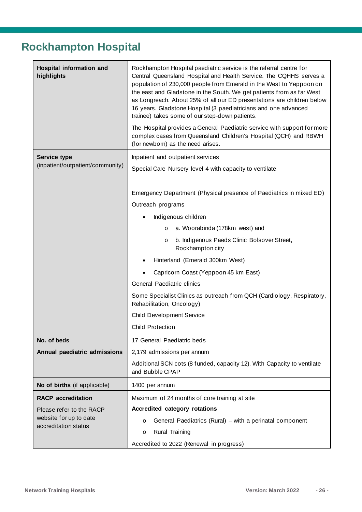### <span id="page-25-0"></span>**Rockhampton Hospital**

| Hospital information and<br>highlights         | Rockhampton Hospital paediatric service is the referral centre for<br>Central Queensland Hospital and Health Service. The CQHHS serves a<br>population of 230,000 people from Emerald in the West to Yeppoon on<br>the east and Gladstone in the South. We get patients from as far West<br>as Longreach. About 25% of all our ED presentations are children below<br>16 years. Gladstone Hospital (3 paediatricians and one advanced<br>trainee) takes some of our step-down patients.<br>The Hospital provides a General Paediatric service with support for more<br>complex cases from Queensland Children's Hospital (QCH) and RBWH<br>(for newborn) as the need arises. |
|------------------------------------------------|------------------------------------------------------------------------------------------------------------------------------------------------------------------------------------------------------------------------------------------------------------------------------------------------------------------------------------------------------------------------------------------------------------------------------------------------------------------------------------------------------------------------------------------------------------------------------------------------------------------------------------------------------------------------------|
| <b>Service type</b>                            | Inpatient and outpatient services                                                                                                                                                                                                                                                                                                                                                                                                                                                                                                                                                                                                                                            |
| (inpatient/outpatient/community)               | Special Care Nursery level 4 with capacity to ventilate                                                                                                                                                                                                                                                                                                                                                                                                                                                                                                                                                                                                                      |
|                                                |                                                                                                                                                                                                                                                                                                                                                                                                                                                                                                                                                                                                                                                                              |
|                                                | Emergency Department (Physical presence of Paediatrics in mixed ED)                                                                                                                                                                                                                                                                                                                                                                                                                                                                                                                                                                                                          |
|                                                | Outreach programs                                                                                                                                                                                                                                                                                                                                                                                                                                                                                                                                                                                                                                                            |
|                                                | Indigenous children                                                                                                                                                                                                                                                                                                                                                                                                                                                                                                                                                                                                                                                          |
|                                                | a. Woorabinda (178km west) and<br>$\circ$                                                                                                                                                                                                                                                                                                                                                                                                                                                                                                                                                                                                                                    |
|                                                | b. Indigenous Paeds Clinic Bolsover Street,<br>$\circ$<br>Rockhampton city                                                                                                                                                                                                                                                                                                                                                                                                                                                                                                                                                                                                   |
|                                                | Hinterland (Emerald 300km West)                                                                                                                                                                                                                                                                                                                                                                                                                                                                                                                                                                                                                                              |
|                                                | Capricorn Coast (Yeppoon 45 km East)                                                                                                                                                                                                                                                                                                                                                                                                                                                                                                                                                                                                                                         |
|                                                | General Paediatric clinics                                                                                                                                                                                                                                                                                                                                                                                                                                                                                                                                                                                                                                                   |
|                                                | Some Specialist Clinics as outreach from QCH (Cardiology, Respiratory,<br>Rehabilitation, Oncology)                                                                                                                                                                                                                                                                                                                                                                                                                                                                                                                                                                          |
|                                                | <b>Child Development Service</b>                                                                                                                                                                                                                                                                                                                                                                                                                                                                                                                                                                                                                                             |
|                                                | <b>Child Protection</b>                                                                                                                                                                                                                                                                                                                                                                                                                                                                                                                                                                                                                                                      |
| No. of beds                                    | 17 General Paediatric beds                                                                                                                                                                                                                                                                                                                                                                                                                                                                                                                                                                                                                                                   |
| Annual paediatric admissions                   | 2,179 admissions per annum                                                                                                                                                                                                                                                                                                                                                                                                                                                                                                                                                                                                                                                   |
|                                                | Additional SCN cots (8 funded, capacity 12). With Capacity to ventilate<br>and Bubble CPAP                                                                                                                                                                                                                                                                                                                                                                                                                                                                                                                                                                                   |
| No of births (if applicable)                   | 1400 per annum                                                                                                                                                                                                                                                                                                                                                                                                                                                                                                                                                                                                                                                               |
| <b>RACP</b> accreditation                      | Maximum of 24 months of core training at site                                                                                                                                                                                                                                                                                                                                                                                                                                                                                                                                                                                                                                |
| Please refer to the RACP                       | Accredited category rotations                                                                                                                                                                                                                                                                                                                                                                                                                                                                                                                                                                                                                                                |
| website for up to date<br>accreditation status | General Paediatrics (Rural) – with a perinatal component<br>$\circ$                                                                                                                                                                                                                                                                                                                                                                                                                                                                                                                                                                                                          |
|                                                | <b>Rural Training</b><br>O                                                                                                                                                                                                                                                                                                                                                                                                                                                                                                                                                                                                                                                   |
|                                                | Accredited to 2022 (Renewal in progress)                                                                                                                                                                                                                                                                                                                                                                                                                                                                                                                                                                                                                                     |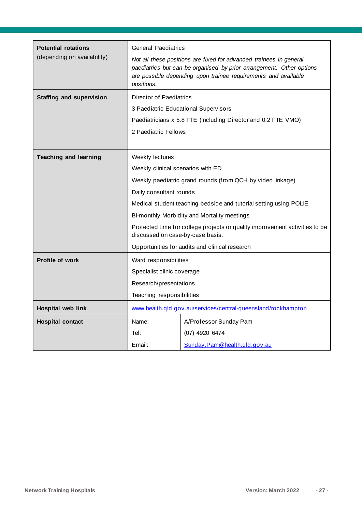| <b>Potential rotations</b>      | <b>General Paediatrics</b>                                                                                      |                                                                                                                                                                                                              |
|---------------------------------|-----------------------------------------------------------------------------------------------------------------|--------------------------------------------------------------------------------------------------------------------------------------------------------------------------------------------------------------|
| (depending on availability)     | positions.                                                                                                      | Not all these positions are fixed for advanced trainees in general<br>paediatrics but can be organised by prior arrangement. Other options<br>are possible depending upon trainee requirements and available |
| <b>Staffing and supervision</b> | Director of Paediatrics                                                                                         |                                                                                                                                                                                                              |
|                                 |                                                                                                                 | 3 Paediatric Educational Supervisors                                                                                                                                                                         |
|                                 |                                                                                                                 | Paediatricians x 5.8 FTE (including Director and 0.2 FTE VMO)                                                                                                                                                |
|                                 | 2 Paediatric Fellows                                                                                            |                                                                                                                                                                                                              |
|                                 |                                                                                                                 |                                                                                                                                                                                                              |
| <b>Teaching and learning</b>    | Weekly lectures                                                                                                 |                                                                                                                                                                                                              |
|                                 | Weekly clinical scenarios with ED                                                                               |                                                                                                                                                                                                              |
|                                 |                                                                                                                 | Weekly paediatric grand rounds (from QCH by video linkage)                                                                                                                                                   |
|                                 | Daily consultant rounds                                                                                         |                                                                                                                                                                                                              |
|                                 | Medical student teaching bedside and tutorial setting using POLIE                                               |                                                                                                                                                                                                              |
|                                 |                                                                                                                 | Bi-monthly Morbidity and Mortality meetings                                                                                                                                                                  |
|                                 | Protected time for college projects or quality improvement activities to be<br>discussed on case-by-case basis. |                                                                                                                                                                                                              |
|                                 | Opportunities for audits and clinical research                                                                  |                                                                                                                                                                                                              |
| <b>Profile of work</b>          | Ward responsibilities                                                                                           |                                                                                                                                                                                                              |
|                                 | Specialist clinic coverage                                                                                      |                                                                                                                                                                                                              |
|                                 | Research/presentations                                                                                          |                                                                                                                                                                                                              |
|                                 | Teaching responsibilities                                                                                       |                                                                                                                                                                                                              |
| Hospital web link               | www.health.qld.gov.au/services/central-queensland/rockhampton                                                   |                                                                                                                                                                                                              |
| <b>Hospital contact</b>         | Name:                                                                                                           | A/Professor Sunday Pam                                                                                                                                                                                       |
|                                 | Tel:                                                                                                            | (07) 4920 6474                                                                                                                                                                                               |
|                                 | Email:                                                                                                          | Sunday.Pam@health.qld.gov.au                                                                                                                                                                                 |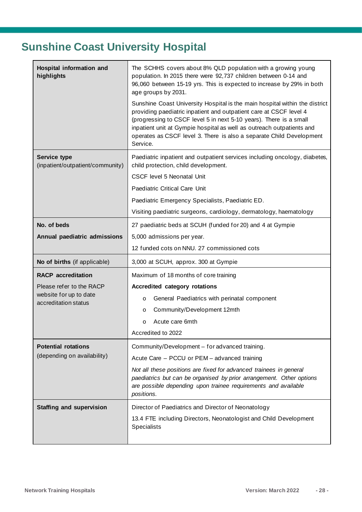# <span id="page-27-0"></span>**Sunshine Coast University Hospital**

| Hospital information and<br>highlights                  | The SCHHS covers about 8% QLD population with a growing young<br>population. In 2015 there were 92,737 children between 0-14 and<br>96,060 between 15-19 yrs. This is expected to increase by 29% in both<br>age groups by 2031.<br>Sunshine Coast University Hospital is the main hospital within the district<br>providing paediatric inpatient and outpatient care at CSCF level 4<br>(progressing to CSCF level 5 in next 5-10 years). There is a small<br>inpatient unit at Gympie hospital as well as outreach outpatients and<br>operates as CSCF level 3. There is also a separate Child Development |
|---------------------------------------------------------|--------------------------------------------------------------------------------------------------------------------------------------------------------------------------------------------------------------------------------------------------------------------------------------------------------------------------------------------------------------------------------------------------------------------------------------------------------------------------------------------------------------------------------------------------------------------------------------------------------------|
|                                                         | Service.                                                                                                                                                                                                                                                                                                                                                                                                                                                                                                                                                                                                     |
| <b>Service type</b><br>(inpatient/outpatient/community) | Paediatric inpatient and outpatient services including oncology, diabetes,<br>child protection, child development.                                                                                                                                                                                                                                                                                                                                                                                                                                                                                           |
|                                                         | <b>CSCF level 5 Neonatal Unit</b>                                                                                                                                                                                                                                                                                                                                                                                                                                                                                                                                                                            |
|                                                         | Paediatric Critical Care Unit                                                                                                                                                                                                                                                                                                                                                                                                                                                                                                                                                                                |
|                                                         | Paediatric Emergency Specialists, Paediatric ED.                                                                                                                                                                                                                                                                                                                                                                                                                                                                                                                                                             |
|                                                         | Visiting paediatric surgeons, cardiology, dermatology, haematology                                                                                                                                                                                                                                                                                                                                                                                                                                                                                                                                           |
| No. of beds                                             | 27 paediatric beds at SCUH (funded for 20) and 4 at Gympie                                                                                                                                                                                                                                                                                                                                                                                                                                                                                                                                                   |
| Annual paediatric admissions                            | 5,000 admissions per year.                                                                                                                                                                                                                                                                                                                                                                                                                                                                                                                                                                                   |
|                                                         | 12 funded cots on NNU. 27 commissioned cots                                                                                                                                                                                                                                                                                                                                                                                                                                                                                                                                                                  |
| No of births (if applicable)                            | 3,000 at SCUH, approx. 300 at Gympie                                                                                                                                                                                                                                                                                                                                                                                                                                                                                                                                                                         |
| <b>RACP</b> accreditation                               | Maximum of 18 months of core training                                                                                                                                                                                                                                                                                                                                                                                                                                                                                                                                                                        |
| Please refer to the RACP                                | Accredited category rotations                                                                                                                                                                                                                                                                                                                                                                                                                                                                                                                                                                                |
| website for up to date<br>accreditation status          | General Paediatrics with perinatal component<br>$\circ$                                                                                                                                                                                                                                                                                                                                                                                                                                                                                                                                                      |
|                                                         | Community/Development 12mth<br>$\circ$                                                                                                                                                                                                                                                                                                                                                                                                                                                                                                                                                                       |
|                                                         | Acute care 6mth<br>$\circ$                                                                                                                                                                                                                                                                                                                                                                                                                                                                                                                                                                                   |
|                                                         | Accredited to 2022                                                                                                                                                                                                                                                                                                                                                                                                                                                                                                                                                                                           |
| <b>Potential rotations</b>                              | Community/Development - for advanced training.                                                                                                                                                                                                                                                                                                                                                                                                                                                                                                                                                               |
| (depending on availability)                             | Acute Care - PCCU or PEM - advanced training                                                                                                                                                                                                                                                                                                                                                                                                                                                                                                                                                                 |
|                                                         | Not all these positions are fixed for advanced trainees in general<br>paediatrics but can be organised by prior arrangement. Other options<br>are possible depending upon trainee requirements and available<br>positions.                                                                                                                                                                                                                                                                                                                                                                                   |
| <b>Staffing and supervision</b>                         | Director of Paediatrics and Director of Neonatology                                                                                                                                                                                                                                                                                                                                                                                                                                                                                                                                                          |
|                                                         | 13.4 FTE including Directors, Neonatologist and Child Development<br><b>Specialists</b>                                                                                                                                                                                                                                                                                                                                                                                                                                                                                                                      |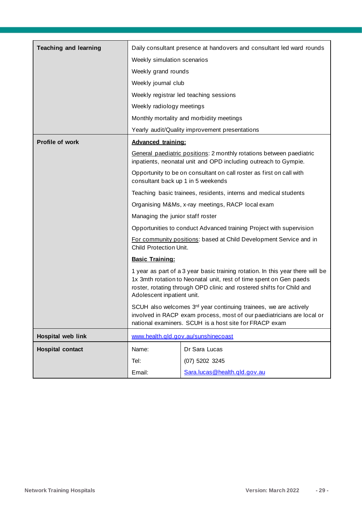| <b>Teaching and learning</b> |                                                                                                                                                                                                                                                             | Daily consultant presence at handovers and consultant led ward rounds                                                                   |
|------------------------------|-------------------------------------------------------------------------------------------------------------------------------------------------------------------------------------------------------------------------------------------------------------|-----------------------------------------------------------------------------------------------------------------------------------------|
|                              | Weekly simulation scenarios                                                                                                                                                                                                                                 |                                                                                                                                         |
|                              | Weekly grand rounds                                                                                                                                                                                                                                         |                                                                                                                                         |
|                              | Weekly journal club                                                                                                                                                                                                                                         |                                                                                                                                         |
|                              |                                                                                                                                                                                                                                                             | Weekly registrar led teaching sessions                                                                                                  |
|                              | Weekly radiology meetings                                                                                                                                                                                                                                   |                                                                                                                                         |
|                              |                                                                                                                                                                                                                                                             | Monthly mortality and morbidity meetings                                                                                                |
|                              |                                                                                                                                                                                                                                                             | Yearly audit/Quality improvement presentations                                                                                          |
| <b>Profile of work</b>       | <b>Advanced training:</b>                                                                                                                                                                                                                                   |                                                                                                                                         |
|                              |                                                                                                                                                                                                                                                             | General paediatric positions: 2 monthly rotations between paediatric<br>inpatients, neonatal unit and OPD including outreach to Gympie. |
|                              | consultant back up 1 in 5 weekends                                                                                                                                                                                                                          | Opportunity to be on consultant on call roster as first on call with                                                                    |
|                              |                                                                                                                                                                                                                                                             | Teaching basic trainees, residents, interns and medical students                                                                        |
|                              | Organising M&Ms, x-ray meetings, RACP local exam                                                                                                                                                                                                            |                                                                                                                                         |
|                              | Managing the junior staff roster                                                                                                                                                                                                                            |                                                                                                                                         |
|                              |                                                                                                                                                                                                                                                             | Opportunities to conduct Advanced training Project with supervision                                                                     |
|                              | For community positions: based at Child Development Service and in<br>Child Protection Unit.                                                                                                                                                                |                                                                                                                                         |
|                              | <b>Basic Training:</b>                                                                                                                                                                                                                                      |                                                                                                                                         |
|                              | 1 year as part of a 3 year basic training rotation. In this year there will be<br>1x 3mth rotation to Neonatal unit, rest of time spent on Gen paeds<br>roster, rotating through OPD clinic and rostered shifts for Child and<br>Adolescent inpatient unit. |                                                                                                                                         |
|                              | SCUH also welcomes 3rd year continuing trainees, we are actively<br>involved in RACP exam process, most of our paediatricians are local or<br>national examiners. SCUH is a host site for FRACP exam                                                        |                                                                                                                                         |
| <b>Hospital web link</b>     |                                                                                                                                                                                                                                                             | www.health.gld.gov.au/sunshinecoast                                                                                                     |
| <b>Hospital contact</b>      | Name:                                                                                                                                                                                                                                                       | Dr Sara Lucas                                                                                                                           |
|                              | Tel:                                                                                                                                                                                                                                                        | (07) 5202 3245                                                                                                                          |
|                              | Email:                                                                                                                                                                                                                                                      | Sara.lucas@health.gld.gov.au                                                                                                            |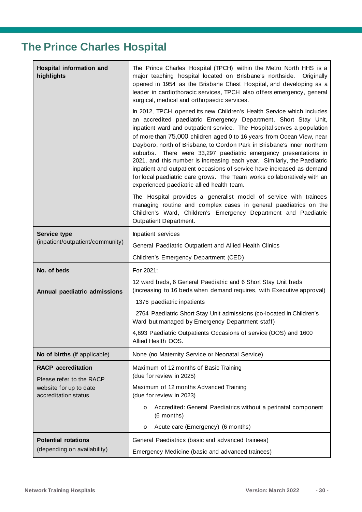### <span id="page-29-0"></span>**The Prince Charles Hospital**

| Hospital information and<br>highlights         | The Prince Charles Hospital (TPCH) within the Metro North HHS is a<br>major teaching hospital located on Brisbane's northside.<br>Originally<br>opened in 1954 as the Brisbane Chest Hospital, and developing as a<br>leader in cardiothoracic services, TPCH also offers emergency, general<br>surgical, medical and orthopaedic services.                                                                                                                                                                                                                                                                                                                                                                                |  |
|------------------------------------------------|----------------------------------------------------------------------------------------------------------------------------------------------------------------------------------------------------------------------------------------------------------------------------------------------------------------------------------------------------------------------------------------------------------------------------------------------------------------------------------------------------------------------------------------------------------------------------------------------------------------------------------------------------------------------------------------------------------------------------|--|
|                                                | In 2012, TPCH opened its new Children's Health Service which includes<br>an accredited paediatric Emergency Department, Short Stay Unit,<br>inpatient ward and outpatient service. The Hospital serves a population<br>of more than 75,000 children aged 0 to 16 years from Ocean View, near<br>Dayboro, north of Brisbane, to Gordon Park in Brisbane's inner northern<br>suburbs. There were 33,297 paediatric emergency presentations in<br>2021, and this number is increasing each year. Similarly, the Paediatric<br>inpatient and outpatient occasions of service have increased as demand<br>for local paediatric care grows. The Team works collaboratively with an<br>experienced paediatric allied health team. |  |
|                                                | The Hospital provides a generalist model of service with trainees<br>managing routine and complex cases in general paediatrics on the<br>Children's Ward, Children's Emergency Department and Paediatric<br>Outpatient Department.                                                                                                                                                                                                                                                                                                                                                                                                                                                                                         |  |
| <b>Service type</b>                            | Inpatient services                                                                                                                                                                                                                                                                                                                                                                                                                                                                                                                                                                                                                                                                                                         |  |
| (inpatient/outpatient/community)               | General Paediatric Outpatient and Allied Health Clinics                                                                                                                                                                                                                                                                                                                                                                                                                                                                                                                                                                                                                                                                    |  |
|                                                | Children's Emergency Department (CED)                                                                                                                                                                                                                                                                                                                                                                                                                                                                                                                                                                                                                                                                                      |  |
| No. of beds                                    | For 2021:                                                                                                                                                                                                                                                                                                                                                                                                                                                                                                                                                                                                                                                                                                                  |  |
| Annual paediatric admissions                   | 12 ward beds, 6 General Paediatric and 6 Short Stay Unit beds<br>(increasing to 16 beds when demand requires, with Executive approval)                                                                                                                                                                                                                                                                                                                                                                                                                                                                                                                                                                                     |  |
|                                                | 1376 paediatric inpatients                                                                                                                                                                                                                                                                                                                                                                                                                                                                                                                                                                                                                                                                                                 |  |
|                                                | 2764 Paediatric Short Stay Unit admissions (co-located in Children's<br>Ward but managed by Emergency Department staff)                                                                                                                                                                                                                                                                                                                                                                                                                                                                                                                                                                                                    |  |
|                                                | 4,693 Paediatric Outpatients Occasions of service (OOS) and 1600<br>Allied Health OOS.                                                                                                                                                                                                                                                                                                                                                                                                                                                                                                                                                                                                                                     |  |
| No of births (if applicable)                   | None (no Maternity Service or Neonatal Service)                                                                                                                                                                                                                                                                                                                                                                                                                                                                                                                                                                                                                                                                            |  |
| <b>RACP</b> accreditation                      | Maximum of 12 months of Basic Training                                                                                                                                                                                                                                                                                                                                                                                                                                                                                                                                                                                                                                                                                     |  |
| Please refer to the RACP                       | (due for review in 2025)                                                                                                                                                                                                                                                                                                                                                                                                                                                                                                                                                                                                                                                                                                   |  |
| website for up to date<br>accreditation status | Maximum of 12 months Advanced Training<br>(due for review in 2023)                                                                                                                                                                                                                                                                                                                                                                                                                                                                                                                                                                                                                                                         |  |
|                                                | Accredited: General Paediatrics without a perinatal component<br>$\circ$<br>(6 months)                                                                                                                                                                                                                                                                                                                                                                                                                                                                                                                                                                                                                                     |  |
|                                                | Acute care (Emergency) (6 months)<br>$\circ$                                                                                                                                                                                                                                                                                                                                                                                                                                                                                                                                                                                                                                                                               |  |
| <b>Potential rotations</b>                     | General Paediatrics (basic and advanced trainees)                                                                                                                                                                                                                                                                                                                                                                                                                                                                                                                                                                                                                                                                          |  |
| (depending on availability)                    | Emergency Medicine (basic and advanced trainees)                                                                                                                                                                                                                                                                                                                                                                                                                                                                                                                                                                                                                                                                           |  |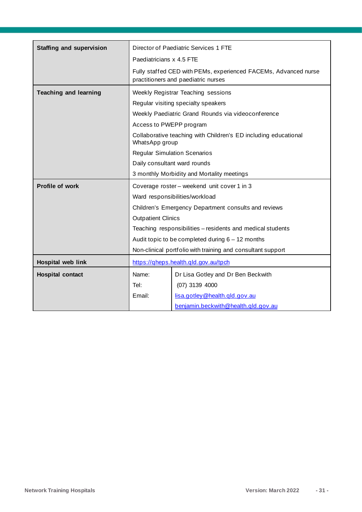| <b>Staffing and supervision</b> | Director of Paediatric Services 1 FTE                      |                                                                                                        |
|---------------------------------|------------------------------------------------------------|--------------------------------------------------------------------------------------------------------|
|                                 | Paediatricians x 4.5 FTE                                   |                                                                                                        |
|                                 |                                                            | Fully staffed CED with PEMs, experienced FACEMs, Advanced nurse<br>practitioners and paediatric nurses |
| <b>Teaching and learning</b>    | Weekly Registrar Teaching sessions                         |                                                                                                        |
|                                 |                                                            | Regular visiting specialty speakers                                                                    |
|                                 |                                                            | Weekly Paediatric Grand Rounds via videoconference                                                     |
|                                 | Access to PWEPP program                                    |                                                                                                        |
|                                 | WhatsApp group                                             | Collaborative teaching with Children's ED including educational                                        |
|                                 |                                                            | <b>Regular Simulation Scenarios</b>                                                                    |
|                                 |                                                            | Daily consultant ward rounds                                                                           |
|                                 |                                                            | 3 monthly Morbidity and Mortality meetings                                                             |
| Profile of work                 |                                                            | Coverage roster - weekend unit cover 1 in 3                                                            |
|                                 |                                                            | Ward responsibilities/workload                                                                         |
|                                 |                                                            | Children's Emergency Department consults and reviews                                                   |
|                                 | <b>Outpatient Clinics</b>                                  |                                                                                                        |
|                                 | Teaching responsibilities - residents and medical students |                                                                                                        |
|                                 | Audit topic to be completed during $6 - 12$ months         |                                                                                                        |
|                                 |                                                            | Non-clinical portfolio with training and consultant support                                            |
| Hospital web link               | https://gheps.health.gld.gov.au/tpch                       |                                                                                                        |
| <b>Hospital contact</b>         | Name:                                                      | Dr Lisa Gotley and Dr Ben Beckwith                                                                     |
|                                 | Tel:                                                       | (07) 3139 4000                                                                                         |
|                                 | Email:                                                     | lisa.gotley@health.gld.gov.au                                                                          |
|                                 |                                                            | benjamin.beckwith@health.gld.gov.au                                                                    |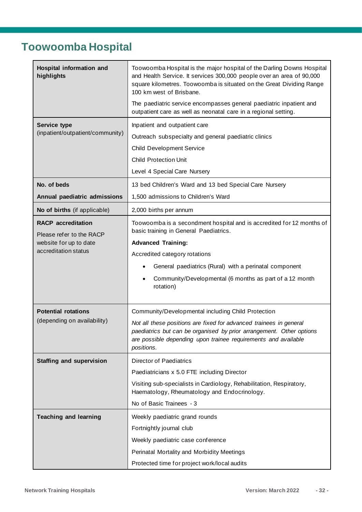### <span id="page-31-0"></span>**Toowoomba Hospital**

| Hospital information and<br>highlights                | Toowoomba Hospital is the major hospital of the Darling Downs Hospital<br>and Health Service. It services 300,000 people over an area of 90,000<br>square kilometres. Toowoomba is situated on the Great Dividing Range<br>100 km west of Brisbane. |  |
|-------------------------------------------------------|-----------------------------------------------------------------------------------------------------------------------------------------------------------------------------------------------------------------------------------------------------|--|
|                                                       | The paediatric service encompasses general paediatric inpatient and<br>outpatient care as well as neonatal care in a regional setting.                                                                                                              |  |
| Service type                                          | Inpatient and outpatient care                                                                                                                                                                                                                       |  |
| (inpatient/outpatient/community)                      | Outreach subspecialty and general paediatric clinics                                                                                                                                                                                                |  |
|                                                       | <b>Child Development Service</b>                                                                                                                                                                                                                    |  |
|                                                       | <b>Child Protection Unit</b>                                                                                                                                                                                                                        |  |
|                                                       | Level 4 Special Care Nursery                                                                                                                                                                                                                        |  |
| No. of beds                                           | 13 bed Children's Ward and 13 bed Special Care Nursery                                                                                                                                                                                              |  |
| Annual paediatric admissions                          | 1,500 admissions to Children's Ward                                                                                                                                                                                                                 |  |
| No of births (if applicable)                          | 2,000 births per annum                                                                                                                                                                                                                              |  |
| <b>RACP</b> accreditation<br>Please refer to the RACP | Toowoomba is a secondment hospital and is accredited for 12 months of<br>basic training in General Paediatrics.                                                                                                                                     |  |
| website for up to date                                | <b>Advanced Training:</b>                                                                                                                                                                                                                           |  |
| accreditation status                                  | Accredited category rotations                                                                                                                                                                                                                       |  |
|                                                       | General paediatrics (Rural) with a perinatal component                                                                                                                                                                                              |  |
|                                                       | Community/Developmental (6 months as part of a 12 month<br>rotation)                                                                                                                                                                                |  |
| <b>Potential rotations</b>                            | Community/Developmental including Child Protection                                                                                                                                                                                                  |  |
| (depending on availability)                           | Not all these positions are fixed for advanced trainees in general<br>paediatrics but can be organised by prior arrangement. Other options<br>are possible depending upon trainee requirements and available<br>positions.                          |  |
| <b>Staffing and supervision</b>                       | <b>Director of Paediatrics</b>                                                                                                                                                                                                                      |  |
|                                                       | Paediatricians x 5.0 FTE including Director                                                                                                                                                                                                         |  |
|                                                       | Visiting sub-specialists in Cardiology, Rehabilitation, Respiratory,<br>Haematology, Rheumatology and Endocrinology.                                                                                                                                |  |
|                                                       | No of Basic Trainees - 3                                                                                                                                                                                                                            |  |
| <b>Teaching and learning</b>                          | Weekly paediatric grand rounds                                                                                                                                                                                                                      |  |
|                                                       | Fortnightly journal club                                                                                                                                                                                                                            |  |
|                                                       | Weekly paediatric case conference                                                                                                                                                                                                                   |  |
|                                                       | Perinatal Mortality and Morbidity Meetings                                                                                                                                                                                                          |  |
|                                                       | Protected time for project work/local audits                                                                                                                                                                                                        |  |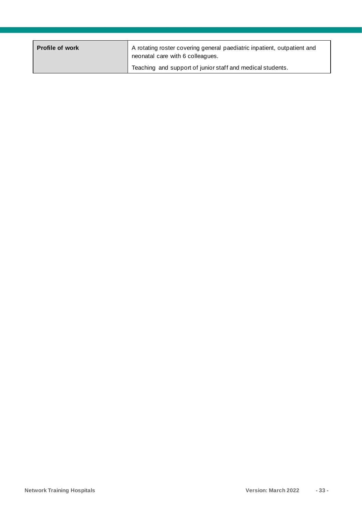| <b>Profile of work</b> | A rotating roster covering general paediatric inpatient, outpatient and<br>neonatal care with 6 colleagues. |
|------------------------|-------------------------------------------------------------------------------------------------------------|
|                        | Teaching and support of junior staff and medical students.                                                  |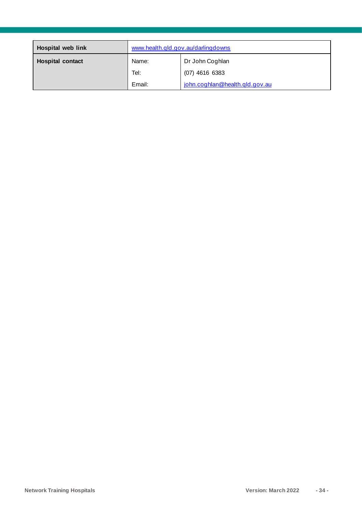| <b>Hospital web link</b> | www.health.qld.gov.au/darlingdowns |                                |
|--------------------------|------------------------------------|--------------------------------|
| <b>Hospital contact</b>  | Name:                              | Dr John Coghlan                |
|                          | Tel:                               | $(07)$ 4616 6383               |
|                          | Email:                             | john.coghlan@health.gld.gov.au |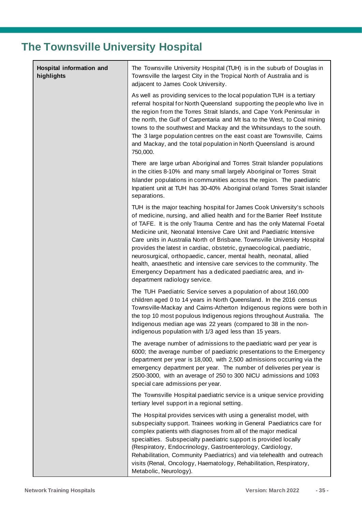### <span id="page-34-0"></span>**The Townsville University Hospital**

| Hospital information and<br>highlights | The Townsville University Hospital (TUH) is in the suburb of Douglas in<br>Townsville the largest City in the Tropical North of Australia and is<br>adjacent to James Cook University.                                                                                                                                                                                                                                                                                                                                                                                                                                                                                                                          |
|----------------------------------------|-----------------------------------------------------------------------------------------------------------------------------------------------------------------------------------------------------------------------------------------------------------------------------------------------------------------------------------------------------------------------------------------------------------------------------------------------------------------------------------------------------------------------------------------------------------------------------------------------------------------------------------------------------------------------------------------------------------------|
|                                        | As well as providing services to the local population TUH is a tertiary<br>referral hospital for North Queensland supporting the people who live in<br>the region from the Torres Strait Islands, and Cape York Peninsular in<br>the north, the Gulf of Carpentaria and Mt Isa to the West, to Coal mining<br>towns to the southwest and Mackay and the Whitsundays to the south.<br>The 3 large population centres on the east coast are Townsville, Cairns<br>and Mackay, and the total population in North Queensland is around<br>750,000.                                                                                                                                                                  |
|                                        | There are large urban Aboriginal and Torres Strait Islander populations<br>in the cities 8-10% and many small largely Aboriginal or Torres Strait<br>Islander populations in communities across the region. The paediatric<br>Inpatient unit at TUH has 30-40% Aboriginal or/and Torres Strait islander<br>separations.                                                                                                                                                                                                                                                                                                                                                                                         |
|                                        | TUH is the major teaching hospital for James Cook University's schools<br>of medicine, nursing, and allied health and for the Barrier Reef Institute<br>of TAFE. It is the only Trauma Centre and has the only Maternal Foetal<br>Medicine unit, Neonatal Intensive Care Unit and Paediatric Intensive<br>Care units in Australia North of Brisbane. Townsville University Hospital<br>provides the latest in cardiac, obstetric, gynaecological, paediatric,<br>neurosurgical, orthopaedic, cancer, mental health, neonatal, allied<br>health, anaesthetic and intensive care services to the community. The<br>Emergency Department has a dedicated paediatric area, and in-<br>department radiology service. |
|                                        | The TUH Paediatric Service serves a population of about 160,000<br>children aged 0 to 14 years in North Queensland. In the 2016 census<br>Townsville-Mackay and Cairns-Atherton Indigenous regions were both in<br>the top 10 most populous Indigenous regions throughout Australia. The<br>Indigenous median age was 22 years (compared to 38 in the non-<br>indigenous population with 1/3 aged less than 15 years.                                                                                                                                                                                                                                                                                           |
|                                        | The average number of admissions to the paediatric ward per year is<br>6000; the average number of paediatric presentations to the Emergency<br>department per year is 18,000, with 2,500 admissions occurring via the<br>emergency department per year. The number of deliveries per year is<br>2500-3000, with an average of 250 to 300 NICU admissions and 1093<br>special care admissions per year.                                                                                                                                                                                                                                                                                                         |
|                                        | The Townsville Hospital paediatric service is a unique service providing<br>tertiary level support in a regional setting.                                                                                                                                                                                                                                                                                                                                                                                                                                                                                                                                                                                       |
|                                        | The Hospital provides services with using a generalist model, with<br>subspecialty support. Trainees working in General Paediatrics care for<br>complex patients with diagnoses from all of the major medical<br>specialties. Subspecialty paediatric support is provided locally<br>(Respiratory, Endocrinology, Gastroenterology, Cardiology,<br>Rehabilitation, Community Paediatrics) and via telehealth and outreach<br>visits (Renal, Oncology, Haematology, Rehabilitation, Respiratory,<br>Metabolic, Neurology).                                                                                                                                                                                       |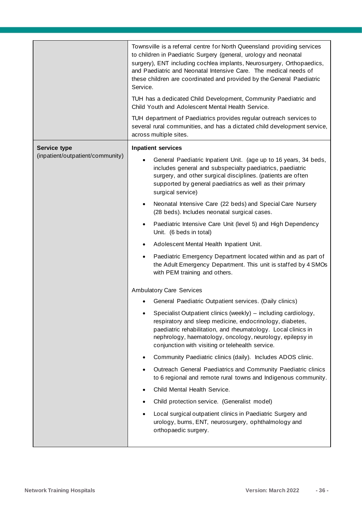|                                  | Townsville is a referral centre for North Queensland providing services<br>to children in Paediatric Surgery (general, urology and neonatal<br>surgery), ENT including cochlea implants, Neurosurgery, Orthopaedics,<br>and Paediatric and Neonatal Intensive Care. The medical needs of<br>these children are coordinated and provided by the General Paediatric<br>Service.<br>TUH has a dedicated Child Development, Community Paediatric and<br>Child Youth and Adolescent Mental Health Service.<br>TUH department of Paediatrics provides regular outreach services to<br>several rural communities, and has a dictated child development service,<br>across multiple sites. |
|----------------------------------|------------------------------------------------------------------------------------------------------------------------------------------------------------------------------------------------------------------------------------------------------------------------------------------------------------------------------------------------------------------------------------------------------------------------------------------------------------------------------------------------------------------------------------------------------------------------------------------------------------------------------------------------------------------------------------|
| <b>Service type</b>              | <b>Inpatient services</b>                                                                                                                                                                                                                                                                                                                                                                                                                                                                                                                                                                                                                                                          |
| (inpatient/outpatient/community) | General Paediatric Inpatient Unit. (age up to 16 years, 34 beds,<br>includes general and subspecialty paediatrics, paediatric<br>surgery, and other surgical disciplines. (patients are often<br>supported by general paediatrics as well as their primary<br>surgical service)                                                                                                                                                                                                                                                                                                                                                                                                    |
|                                  | Neonatal Intensive Care (22 beds) and Special Care Nursery<br>(28 beds). Includes neonatal surgical cases.                                                                                                                                                                                                                                                                                                                                                                                                                                                                                                                                                                         |
|                                  | Paediatric Intensive Care Unit (level 5) and High Dependency<br>Unit. (6 beds in total)                                                                                                                                                                                                                                                                                                                                                                                                                                                                                                                                                                                            |
|                                  | Adolescent Mental Health Inpatient Unit.                                                                                                                                                                                                                                                                                                                                                                                                                                                                                                                                                                                                                                           |
|                                  | Paediatric Emergency Department located within and as part of<br>the Adult Emergency Department. This unit is staffed by 4 SMOs<br>with PEM training and others.                                                                                                                                                                                                                                                                                                                                                                                                                                                                                                                   |
|                                  | <b>Ambulatory Care Services</b>                                                                                                                                                                                                                                                                                                                                                                                                                                                                                                                                                                                                                                                    |
|                                  | General Paediatric Outpatient services. (Daily clinics)                                                                                                                                                                                                                                                                                                                                                                                                                                                                                                                                                                                                                            |
|                                  | Specialist Outpatient clinics (weekly) - including cardiology,<br>respiratory and sleep medicine, endocrinology, diabetes,<br>paediatric rehabilitation, and rheumatology. Local clinics in<br>nephrology, haematology, oncology, neurology, epilepsy in<br>conjunction with visiting or telehealth service.                                                                                                                                                                                                                                                                                                                                                                       |
|                                  | Community Paediatric clinics (daily). Includes ADOS clinic.                                                                                                                                                                                                                                                                                                                                                                                                                                                                                                                                                                                                                        |
|                                  | Outreach General Paediatrics and Community Paediatric clinics<br>to 6 regional and remote rural towns and Indigenous community.                                                                                                                                                                                                                                                                                                                                                                                                                                                                                                                                                    |
|                                  | Child Mental Health Service.                                                                                                                                                                                                                                                                                                                                                                                                                                                                                                                                                                                                                                                       |
|                                  | Child protection service. (Generalist model)                                                                                                                                                                                                                                                                                                                                                                                                                                                                                                                                                                                                                                       |
|                                  | Local surgical outpatient clinics in Paediatric Surgery and<br>urology, burns, ENT, neurosurgery, ophthalmology and<br>orthopaedic surgery.                                                                                                                                                                                                                                                                                                                                                                                                                                                                                                                                        |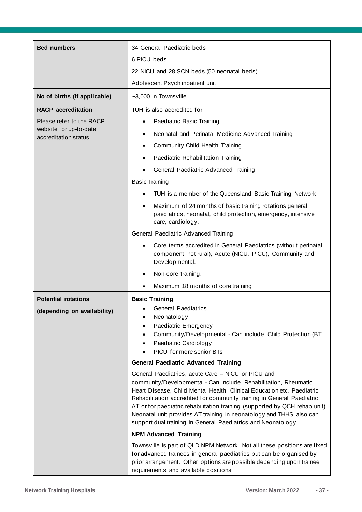| <b>Bed numbers</b>                             | 34 General Paediatric beds                                                                                                                                                                                                                                                                                                                                                                                                                                                                       |  |  |
|------------------------------------------------|--------------------------------------------------------------------------------------------------------------------------------------------------------------------------------------------------------------------------------------------------------------------------------------------------------------------------------------------------------------------------------------------------------------------------------------------------------------------------------------------------|--|--|
|                                                | 6 PICU beds                                                                                                                                                                                                                                                                                                                                                                                                                                                                                      |  |  |
|                                                | 22 NICU and 28 SCN beds (50 neonatal beds)                                                                                                                                                                                                                                                                                                                                                                                                                                                       |  |  |
|                                                | Adolescent Psych inpatient unit                                                                                                                                                                                                                                                                                                                                                                                                                                                                  |  |  |
| No of births (if applicable)                   | ~3,000 in Townsville                                                                                                                                                                                                                                                                                                                                                                                                                                                                             |  |  |
| <b>RACP</b> accreditation                      | TUH is also accredited for                                                                                                                                                                                                                                                                                                                                                                                                                                                                       |  |  |
| Please refer to the RACP                       | Paediatric Basic Training                                                                                                                                                                                                                                                                                                                                                                                                                                                                        |  |  |
| website for up-to-date<br>accreditation status | Neonatal and Perinatal Medicine Advanced Training<br>$\bullet$                                                                                                                                                                                                                                                                                                                                                                                                                                   |  |  |
|                                                | Community Child Health Training                                                                                                                                                                                                                                                                                                                                                                                                                                                                  |  |  |
|                                                | Paediatric Rehabilitation Training                                                                                                                                                                                                                                                                                                                                                                                                                                                               |  |  |
|                                                | General Paediatric Advanced Training                                                                                                                                                                                                                                                                                                                                                                                                                                                             |  |  |
|                                                | <b>Basic Training</b>                                                                                                                                                                                                                                                                                                                                                                                                                                                                            |  |  |
|                                                | TUH is a member of the Queensland Basic Training Network.                                                                                                                                                                                                                                                                                                                                                                                                                                        |  |  |
|                                                | Maximum of 24 months of basic training rotations general<br>$\bullet$<br>paediatrics, neonatal, child protection, emergency, intensive<br>care, cardiology.                                                                                                                                                                                                                                                                                                                                      |  |  |
|                                                | General Paediatric Advanced Training                                                                                                                                                                                                                                                                                                                                                                                                                                                             |  |  |
|                                                | Core terms accredited in General Paediatrics (without perinatal<br>component, not rural), Acute (NICU, PICU), Community and<br>Developmental.                                                                                                                                                                                                                                                                                                                                                    |  |  |
|                                                | Non-core training.                                                                                                                                                                                                                                                                                                                                                                                                                                                                               |  |  |
|                                                | Maximum 18 months of core training                                                                                                                                                                                                                                                                                                                                                                                                                                                               |  |  |
| <b>Potential rotations</b>                     | <b>Basic Training</b>                                                                                                                                                                                                                                                                                                                                                                                                                                                                            |  |  |
| (depending on availability)                    | <b>General Paediatrics</b><br>Neonatology<br>$\bullet$<br>Paediatric Emergency<br>Community/Developmental - Can include. Child Protection (BT<br>$\bullet$<br>Paediatric Cardiology<br>PICU for more senior BTs                                                                                                                                                                                                                                                                                  |  |  |
|                                                | <b>General Paediatric Advanced Training</b>                                                                                                                                                                                                                                                                                                                                                                                                                                                      |  |  |
|                                                | General Paediatrics, acute Care - NICU or PICU and<br>community/Developmental - Can include. Rehabilitation, Rheumatic<br>Heart Disease, Child Mental Health, Clinical Education etc. Paediatric<br>Rehabilitation accredited for community training in General Paediatric<br>AT or for paediatric rehabilitation training (supported by QCH rehab unit)<br>Neonatal unit provides AT training in neonatology and THHS also can<br>support dual training in General Paediatrics and Neonatology. |  |  |
|                                                | <b>NPM Advanced Training</b>                                                                                                                                                                                                                                                                                                                                                                                                                                                                     |  |  |
|                                                | Townsville is part of QLD NPM Network. Not all these positions are fixed<br>for advanced trainees in general paediatrics but can be organised by<br>prior arrangement. Other options are possible depending upon trainee<br>requirements and available positions                                                                                                                                                                                                                                 |  |  |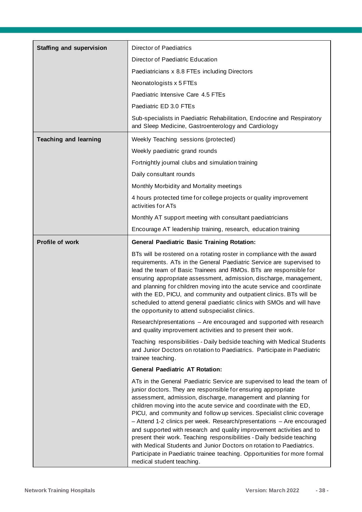| <b>Staffing and supervision</b> | <b>Director of Paediatrics</b>                                                                                                                                                                                                                                                                                                                                                                                                                                                                                                                                                                                                                                                                                                                                            |  |  |
|---------------------------------|---------------------------------------------------------------------------------------------------------------------------------------------------------------------------------------------------------------------------------------------------------------------------------------------------------------------------------------------------------------------------------------------------------------------------------------------------------------------------------------------------------------------------------------------------------------------------------------------------------------------------------------------------------------------------------------------------------------------------------------------------------------------------|--|--|
|                                 | Director of Paediatric Education                                                                                                                                                                                                                                                                                                                                                                                                                                                                                                                                                                                                                                                                                                                                          |  |  |
|                                 | Paediatricians x 8.8 FTEs including Directors                                                                                                                                                                                                                                                                                                                                                                                                                                                                                                                                                                                                                                                                                                                             |  |  |
|                                 | Neonatologists x 5 FTEs                                                                                                                                                                                                                                                                                                                                                                                                                                                                                                                                                                                                                                                                                                                                                   |  |  |
|                                 | Paediatric Intensive Care 4.5 FTEs                                                                                                                                                                                                                                                                                                                                                                                                                                                                                                                                                                                                                                                                                                                                        |  |  |
|                                 | Paediatric ED 3.0 FTEs                                                                                                                                                                                                                                                                                                                                                                                                                                                                                                                                                                                                                                                                                                                                                    |  |  |
|                                 | Sub-specialists in Paediatric Rehabilitation, Endocrine and Respiratory<br>and Sleep Medicine, Gastroenterology and Cardiology                                                                                                                                                                                                                                                                                                                                                                                                                                                                                                                                                                                                                                            |  |  |
| <b>Teaching and learning</b>    | Weekly Teaching sessions (protected)                                                                                                                                                                                                                                                                                                                                                                                                                                                                                                                                                                                                                                                                                                                                      |  |  |
|                                 | Weekly paediatric grand rounds                                                                                                                                                                                                                                                                                                                                                                                                                                                                                                                                                                                                                                                                                                                                            |  |  |
|                                 | Fortnightly journal clubs and simulation training                                                                                                                                                                                                                                                                                                                                                                                                                                                                                                                                                                                                                                                                                                                         |  |  |
|                                 | Daily consultant rounds                                                                                                                                                                                                                                                                                                                                                                                                                                                                                                                                                                                                                                                                                                                                                   |  |  |
|                                 | Monthly Morbidity and Mortality meetings                                                                                                                                                                                                                                                                                                                                                                                                                                                                                                                                                                                                                                                                                                                                  |  |  |
|                                 | 4 hours protected time for college projects or quality improvement<br>activities for ATs                                                                                                                                                                                                                                                                                                                                                                                                                                                                                                                                                                                                                                                                                  |  |  |
|                                 | Monthly AT support meeting with consultant paediatricians                                                                                                                                                                                                                                                                                                                                                                                                                                                                                                                                                                                                                                                                                                                 |  |  |
|                                 | Encourage AT leadership training, research, education training                                                                                                                                                                                                                                                                                                                                                                                                                                                                                                                                                                                                                                                                                                            |  |  |
| Profile of work                 | <b>General Paediatric Basic Training Rotation:</b>                                                                                                                                                                                                                                                                                                                                                                                                                                                                                                                                                                                                                                                                                                                        |  |  |
|                                 | BTs will be rostered on a rotating roster in compliance with the award<br>requirements. ATs in the General Paediatric Service are supervised to<br>lead the team of Basic Trainees and RMOs. BTs are responsible for<br>ensuring appropriate assessment, admission, discharge, management,<br>and planning for children moving into the acute service and coordinate<br>with the ED, PICU, and community and outpatient clinics. BTs will be<br>scheduled to attend general paediatric clinics with SMOs and will have<br>the opportunity to attend subspecialist clinics.                                                                                                                                                                                                |  |  |
|                                 | Research/presentations - Are encouraged and supported with research<br>and quality improvement activities and to present their work.                                                                                                                                                                                                                                                                                                                                                                                                                                                                                                                                                                                                                                      |  |  |
|                                 | Teaching responsibilities - Daily bedside teaching with Medical Students<br>and Junior Doctors on rotation to Paediatrics. Participate in Paediatric<br>trainee teaching.                                                                                                                                                                                                                                                                                                                                                                                                                                                                                                                                                                                                 |  |  |
|                                 | <b>General Paediatric AT Rotation:</b>                                                                                                                                                                                                                                                                                                                                                                                                                                                                                                                                                                                                                                                                                                                                    |  |  |
|                                 | ATs in the General Paediatric Service are supervised to lead the team of<br>junior doctors. They are responsible for ensuring appropriate<br>assessment, admission, discharge, management and planning for<br>children moving into the acute service and coordinate with the ED,<br>PICU, and community and follow up services. Specialist clinic coverage<br>- Attend 1-2 clinics per week. Research/presentations - Are encouraged<br>and supported with research and quality improvement activities and to<br>present their work. Teaching responsibilities - Daily bedside teaching<br>with Medical Students and Junior Doctors on rotation to Paediatrics.<br>Participate in Paediatric trainee teaching. Opportunities for more formal<br>medical student teaching. |  |  |